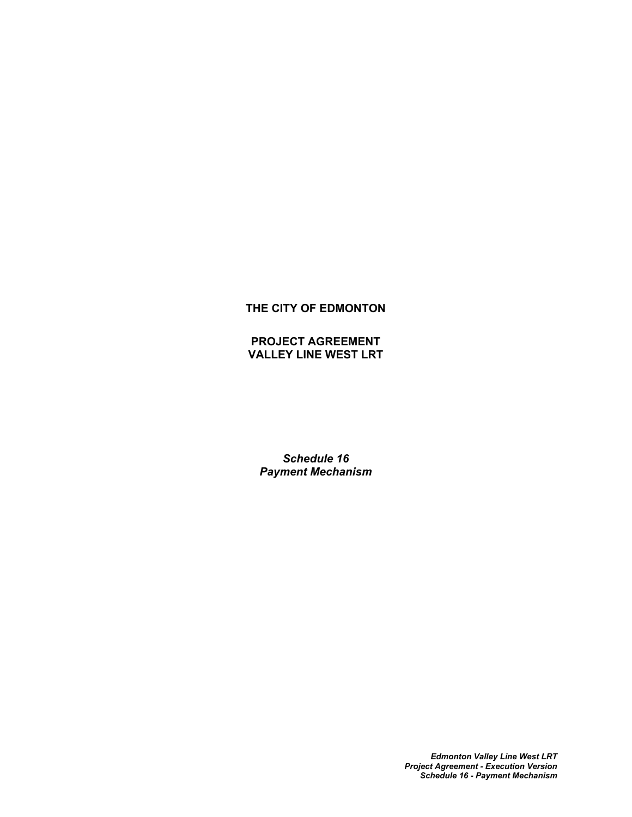# **THE CITY OF EDMONTON**

# **PROJECT AGREEMENT VALLEY LINE WEST LRT**

*Schedule 16 Payment Mechanism*

> *Edmonton Valley Line West LRT Project Agreement - Execution Version Schedule 16 - Payment Mechanism*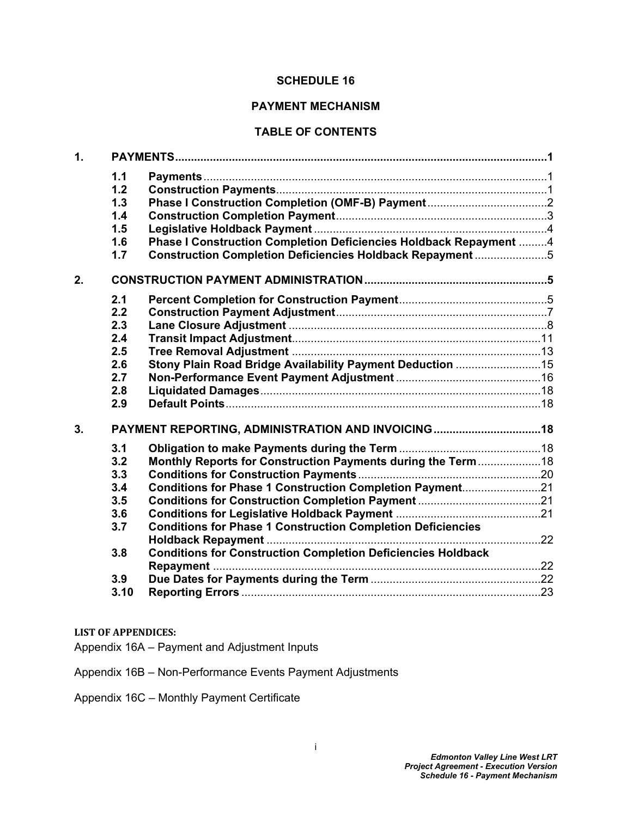### **SCHEDULE 16**

### **PAYMENT MECHANISM**

## **TABLE OF CONTENTS**

| $\mathbf{1}$ . |      |                                                                     |  |
|----------------|------|---------------------------------------------------------------------|--|
|                | 1.1  |                                                                     |  |
|                | 1.2  |                                                                     |  |
|                | 1.3  |                                                                     |  |
|                | 1.4  |                                                                     |  |
|                | 1.5  |                                                                     |  |
|                | 1.6  | Phase I Construction Completion Deficiencies Holdback Repayment 4   |  |
|                | 1.7  | Construction Completion Deficiencies Holdback Repayment 5           |  |
| 2.             |      |                                                                     |  |
|                | 2.1  |                                                                     |  |
|                | 2.2  |                                                                     |  |
|                | 2.3  |                                                                     |  |
|                | 2.4  |                                                                     |  |
|                | 2.5  |                                                                     |  |
|                | 2.6  | Stony Plain Road Bridge Availability Payment Deduction 15           |  |
|                | 2.7  |                                                                     |  |
|                | 2.8  |                                                                     |  |
|                | 2.9  |                                                                     |  |
| 3.             |      | PAYMENT REPORTING, ADMINISTRATION AND INVOICING 18                  |  |
|                | 3.1  |                                                                     |  |
|                | 3.2  | Monthly Reports for Construction Payments during the Term18         |  |
|                | 3.3  |                                                                     |  |
|                | 3.4  | Conditions for Phase 1 Construction Completion Payment21            |  |
|                | 3.5  |                                                                     |  |
|                | 3.6  |                                                                     |  |
|                | 3.7  | <b>Conditions for Phase 1 Construction Completion Deficiencies</b>  |  |
|                |      |                                                                     |  |
|                | 3.8  | <b>Conditions for Construction Completion Deficiencies Holdback</b> |  |
|                |      |                                                                     |  |
|                | 3.9  |                                                                     |  |
|                | 3.10 |                                                                     |  |

#### **LIST OF APPENDICES:**

Appendix 16A – Payment and Adjustment Inputs

Appendix 16B – Non-Performance Events Payment Adjustments

Appendix 16C – Monthly Payment Certificate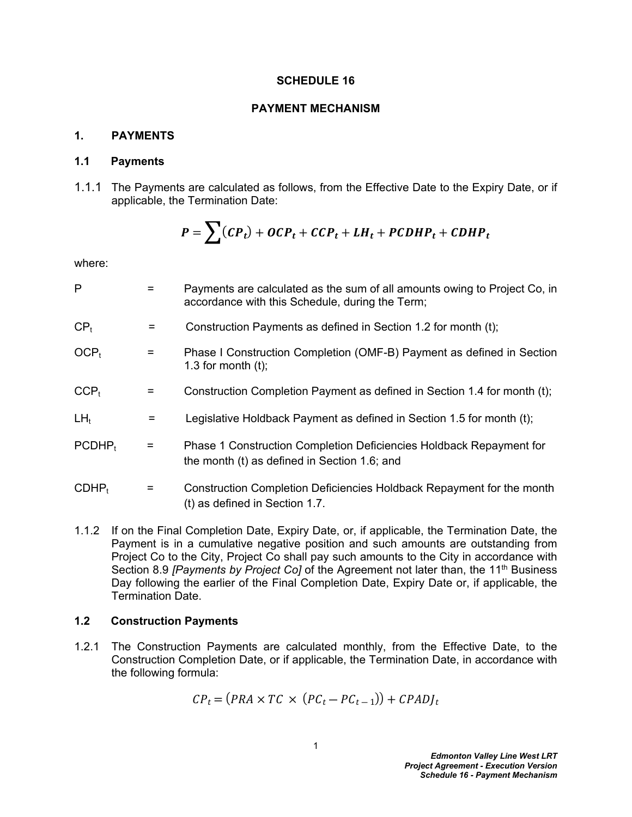#### **SCHEDULE 16**

#### **PAYMENT MECHANISM**

## <span id="page-2-0"></span>**1. PAYMENTS**

#### <span id="page-2-1"></span>**1.1 Payments**

1.1.1 The Payments are calculated as follows, from the Effective Date to the Expiry Date, or if applicable, the Termination Date:

$$
P = \sum (CP_t) + OCP_t + CCP_t + LH_t + PCDHP_t + CDHP_t
$$

where:

| P                |                                | Payments are calculated as the sum of all amounts owing to Project Co, in<br>accordance with this Schedule, during the Term; |
|------------------|--------------------------------|------------------------------------------------------------------------------------------------------------------------------|
| CP <sub>t</sub>  | $=$                            | Construction Payments as defined in Section 1.2 for month (t);                                                               |
| OCP <sub>t</sub> | $\qquad \qquad =\qquad \qquad$ | Phase I Construction Completion (OMF-B) Payment as defined in Section<br>1.3 for month $(t)$ ;                               |
| $CCP_t$          | =                              | Construction Completion Payment as defined in Section 1.4 for month (t);                                                     |
| $LH_t$           | $=$                            | Legislative Holdback Payment as defined in Section 1.5 for month (t);                                                        |
| $PCDHP_t$        | $=$                            | Phase 1 Construction Completion Deficiencies Holdback Repayment for<br>the month (t) as defined in Section 1.6; and          |
| $CDHP_t$         | $=$                            | Construction Completion Deficiencies Holdback Repayment for the month<br>(t) as defined in Section 1.7.                      |
|                  |                                |                                                                                                                              |

1.1.2 If on the Final Completion Date, Expiry Date, or, if applicable, the Termination Date, the Payment is in a cumulative negative position and such amounts are outstanding from Project Co to the City, Project Co shall pay such amounts to the City in accordance with Section 8.9 *[Payments by Project Co]* of the Agreement not later than, the 11<sup>th</sup> Business Day following the earlier of the Final Completion Date, Expiry Date or, if applicable, the Termination Date.

#### <span id="page-2-2"></span>**1.2 Construction Payments**

1.2.1 The Construction Payments are calculated monthly, from the Effective Date, to the Construction Completion Date, or if applicable, the Termination Date, in accordance with the following formula:

$$
CP_t = (PRA \times TC \times (PC_t - PC_{t-1})) + CPADJ_t
$$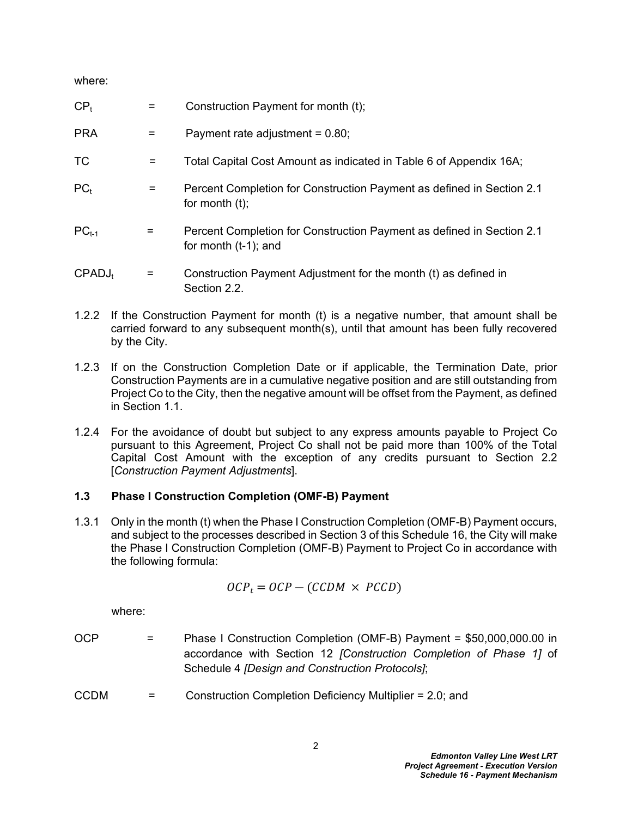where:

| CP <sub>t</sub>    | =   | Construction Payment for month (t);                                                              |
|--------------------|-----|--------------------------------------------------------------------------------------------------|
| <b>PRA</b>         | $=$ | Payment rate adjustment = $0.80$ ;                                                               |
| <b>TC</b>          | $=$ | Total Capital Cost Amount as indicated in Table 6 of Appendix 16A;                               |
| PC <sub>t</sub>    | Ξ   | Percent Completion for Construction Payment as defined in Section 2.1<br>for month $(t)$ ;       |
| $PC_{t-1}$         | =   | Percent Completion for Construction Payment as defined in Section 2.1<br>for month $(t-1)$ ; and |
| CPADJ <sub>t</sub> | Ξ   | Construction Payment Adjustment for the month (t) as defined in<br>Section 2.2.                  |

- 1.2.2 If the Construction Payment for month (t) is a negative number, that amount shall be carried forward to any subsequent month(s), until that amount has been fully recovered by the City.
- 1.2.3 If on the Construction Completion Date or if applicable, the Termination Date, prior Construction Payments are in a cumulative negative position and are still outstanding from Project Co to the City, then the negative amount will be offset from the Payment, as defined in Section 1.1
- 1.2.4 For the avoidance of doubt but subject to any express amounts payable to Project Co pursuant to this Agreement, Project Co shall not be paid more than 100% of the Total Capital Cost Amount with the exception of any credits pursuant to Section 2.2 [*Construction Payment Adjustments*].

# <span id="page-3-0"></span>**1.3 Phase I Construction Completion (OMF-B) Payment**

1.3.1 Only in the month (t) when the Phase I Construction Completion (OMF-B) Payment occurs, and subject to the processes described in Section 3 of this Schedule 16, the City will make the Phase I Construction Completion (OMF-B) Payment to Project Co in accordance with the following formula:

$$
OCP_t = OCP - (CCDM \times PCCD)
$$

where:

- OCP = Phase I Construction Completion (OMF-B) Payment = \$50,000,000.00 in accordance with Section 12 *[Construction Completion of Phase 1]* of Schedule 4 *[Design and Construction Protocols]*;
- CCDM = Construction Completion Deficiency Multiplier = 2.0; and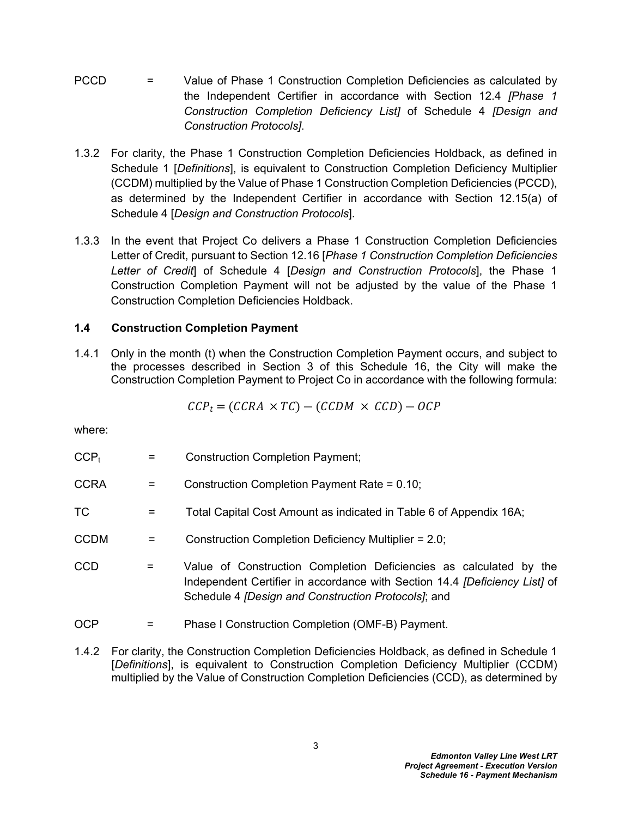- PCCD = Value of Phase 1 Construction Completion Deficiencies as calculated by the Independent Certifier in accordance with Section 12.4 *[Phase 1 Construction Completion Deficiency List]* of Schedule 4 *[Design and Construction Protocols]*.
- 1.3.2 For clarity, the Phase 1 Construction Completion Deficiencies Holdback, as defined in Schedule 1 [*Definitions*], is equivalent to Construction Completion Deficiency Multiplier (CCDM) multiplied by the Value of Phase 1 Construction Completion Deficiencies (PCCD), as determined by the Independent Certifier in accordance with Section 12.15(a) of Schedule 4 [*Design and Construction Protocols*].
- 1.3.3 In the event that Project Co delivers a Phase 1 Construction Completion Deficiencies Letter of Credit, pursuant to Section 12.16 [*Phase 1 Construction Completion Deficiencies Letter of Credit*] of Schedule 4 [*Design and Construction Protocols*], the Phase 1 Construction Completion Payment will not be adjusted by the value of the Phase 1 Construction Completion Deficiencies Holdback.

# <span id="page-4-0"></span>**1.4 Construction Completion Payment**

1.4.1 Only in the month (t) when the Construction Completion Payment occurs, and subject to the processes described in Section 3 of this Schedule 16, the City will make the Construction Completion Payment to Project Co in accordance with the following formula:

$$
CCP_t = (CCRA \times TC) - (CCDM \times CCD) - OCP
$$

where:

| $CCP_t$     |     | <b>Construction Completion Payment;</b>                                                                                                                                                                        |
|-------------|-----|----------------------------------------------------------------------------------------------------------------------------------------------------------------------------------------------------------------|
| <b>CCRA</b> | =   | Construction Completion Payment Rate = 0.10;                                                                                                                                                                   |
| TC          | =   | Total Capital Cost Amount as indicated in Table 6 of Appendix 16A;                                                                                                                                             |
| <b>CCDM</b> | =   | Construction Completion Deficiency Multiplier = 2.0;                                                                                                                                                           |
| <b>CCD</b>  | $=$ | Value of Construction Completion Deficiencies as calculated by the<br>Independent Certifier in accordance with Section 14.4 <i>[Deficiency List]</i> of<br>Schedule 4 [Design and Construction Protocols]; and |
| <b>OCP</b>  |     | Phase I Construction Completion (OMF-B) Payment.                                                                                                                                                               |

1.4.2 For clarity, the Construction Completion Deficiencies Holdback, as defined in Schedule 1 [*Definitions*], is equivalent to Construction Completion Deficiency Multiplier (CCDM) multiplied by the Value of Construction Completion Deficiencies (CCD), as determined by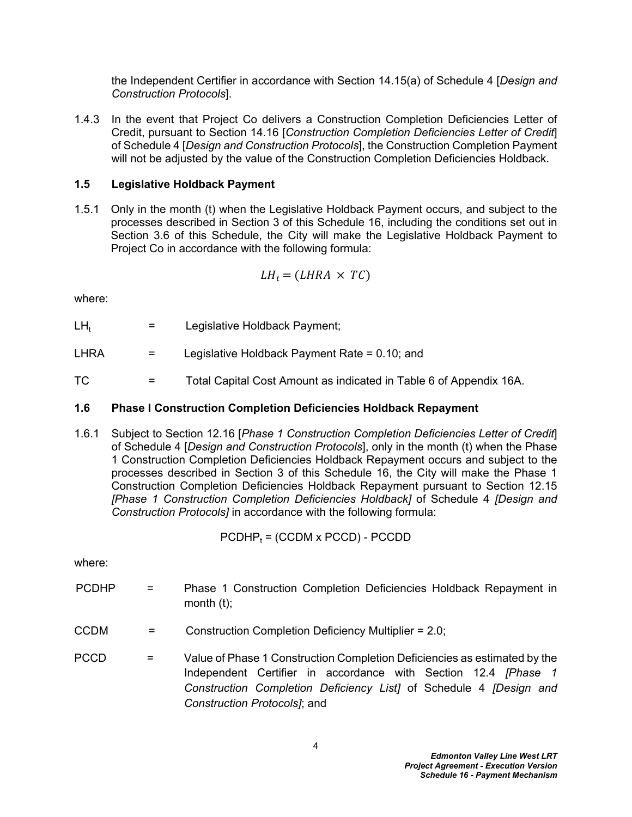the Independent Certifier in accordance with Section 14.15(a) of Schedule 4 [*Design and Construction Protocols*].

1.4.3 In the event that Project Co delivers a Construction Completion Deficiencies Letter of Credit, pursuant to Section 14.16 [*Construction Completion Deficiencies Letter of Credit*] of Schedule 4 [*Design and Construction Protocols*], the Construction Completion Payment will not be adjusted by the value of the Construction Completion Deficiencies Holdback.

# <span id="page-5-0"></span>**1.5 Legislative Holdback Payment**

1.5.1 Only in the month (t) when the Legislative Holdback Payment occurs, and subject to the processes described in Section 3 of this Schedule 16, including the conditions set out in Section 3.6 of this Schedule, the City will make the Legislative Holdback Payment to Project Co in accordance with the following formula:

$$
LH_t = (LHRA \times TC)
$$

where:

 $LH_t$  = Legislative Holdback Payment;

LHRA  $=$  Legislative Holdback Payment Rate = 0.10; and

TC = Total Capital Cost Amount as indicated in [Table 6](#page-25-0) of Appendix 16A.

## <span id="page-5-1"></span>**1.6 Phase I Construction Completion Deficiencies Holdback Repayment**

1.6.1 Subject to Section 12.16 [*Phase 1 Construction Completion Deficiencies Letter of Credit*] of Schedule 4 [*Design and Construction Protocols*], only in the month (t) when the Phase 1 Construction Completion Deficiencies Holdback Repayment occurs and subject to the processes described in Section 3 of this Schedule 16, the City will make the Phase 1 Construction Completion Deficiencies Holdback Repayment pursuant to Section 12.15 *[Phase 1 Construction Completion Deficiencies Holdback]* of Schedule 4 *[Design and Construction Protocols]* in accordance with the following formula:

$$
PCDHP_t = (CCDM \times PCCD) - PCCDD
$$

where:

- PCDHP = Phase 1 Construction Completion Deficiencies Holdback Repayment in month (t);
- CCDM = Construction Completion Deficiency Multiplier = 2.0;
- PCCD = Value of Phase 1 Construction Completion Deficiencies as estimated by the Independent Certifier in accordance with Section 12.4 *[Phase 1 Construction Completion Deficiency List]* of Schedule 4 *[Design and Construction Protocols]*; and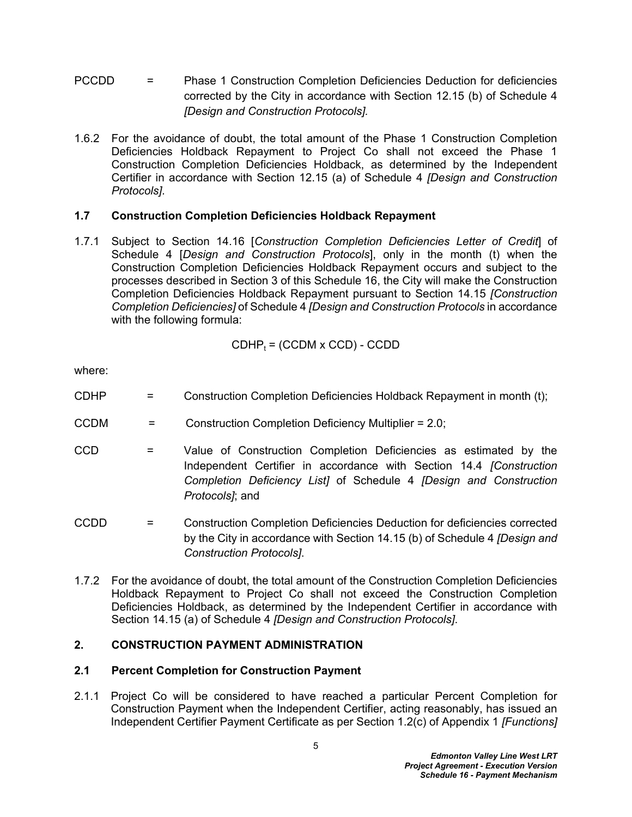- PCCDD = Phase 1 Construction Completion Deficiencies Deduction for deficiencies corrected by the City in accordance with Section 12.15 (b) of Schedule 4 *[Design and Construction Protocols].*
- 1.6.2 For the avoidance of doubt, the total amount of the Phase 1 Construction Completion Deficiencies Holdback Repayment to Project Co shall not exceed the Phase 1 Construction Completion Deficiencies Holdback, as determined by the Independent Certifier in accordance with Section 12.15 (a) of Schedule 4 *[Design and Construction Protocols]*.

# <span id="page-6-0"></span>**1.7 Construction Completion Deficiencies Holdback Repayment**

1.7.1 Subject to Section 14.16 [*Construction Completion Deficiencies Letter of Credit*] of Schedule 4 [*Design and Construction Protocols*], only in the month (t) when the Construction Completion Deficiencies Holdback Repayment occurs and subject to the processes described in Section 3 of this Schedule 16, the City will make the Construction Completion Deficiencies Holdback Repayment pursuant to Section 14.15 *[Construction Completion Deficiencies]* of Schedule 4 *[Design and Construction Protocols* in accordance with the following formula:

$$
CDHP_t = (CCDM \times CCD) - CCDD
$$

where:

- CDHP = Construction Completion Deficiencies Holdback Repayment in month (t);
- CCDM = Construction Completion Deficiency Multiplier = 2.0;
- CCD = Value of Construction Completion Deficiencies as estimated by the Independent Certifier in accordance with Section 14.4 *[Construction Completion Deficiency List]* of Schedule 4 *[Design and Construction Protocols]*; and
- CCDD = Construction Completion Deficiencies Deduction for deficiencies corrected by the City in accordance with Section 14.15 (b) of Schedule 4 *[Design and Construction Protocols]*.
- 1.7.2 For the avoidance of doubt, the total amount of the Construction Completion Deficiencies Holdback Repayment to Project Co shall not exceed the Construction Completion Deficiencies Holdback, as determined by the Independent Certifier in accordance with Section 14.15 (a) of Schedule 4 *[Design and Construction Protocols]*.

### <span id="page-6-1"></span>**2. CONSTRUCTION PAYMENT ADMINISTRATION**

### <span id="page-6-2"></span>**2.1 Percent Completion for Construction Payment**

2.1.1 Project Co will be considered to have reached a particular Percent Completion for Construction Payment when the Independent Certifier, acting reasonably, has issued an Independent Certifier Payment Certificate as per Section 1.2(c) of Appendix 1 *[Functions]*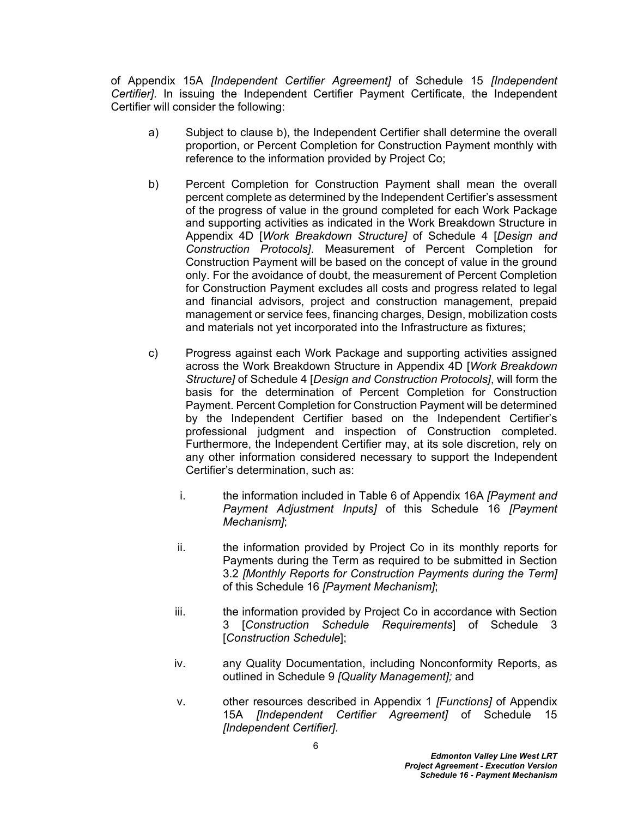of Appendix 15A *[Independent Certifier Agreement]* of Schedule 15 *[Independent Certifier]*. In issuing the Independent Certifier Payment Certificate, the Independent Certifier will consider the following:

- a) Subject to clause b), the Independent Certifier shall determine the overall proportion, or Percent Completion for Construction Payment monthly with reference to the information provided by Project Co;
- b) Percent Completion for Construction Payment shall mean the overall percent complete as determined by the Independent Certifier's assessment of the progress of value in the ground completed for each Work Package and supporting activities as indicated in the Work Breakdown Structure in Appendix 4D [*Work Breakdown Structure]* of Schedule 4 [*Design and Construction Protocols]*. Measurement of Percent Completion for Construction Payment will be based on the concept of value in the ground only. For the avoidance of doubt, the measurement of Percent Completion for Construction Payment excludes all costs and progress related to legal and financial advisors, project and construction management, prepaid management or service fees, financing charges, Design, mobilization costs and materials not yet incorporated into the Infrastructure as fixtures;
- c) Progress against each Work Package and supporting activities assigned across the Work Breakdown Structure in Appendix 4D [*Work Breakdown Structure]* of Schedule 4 [*Design and Construction Protocols]*, will form the basis for the determination of Percent Completion for Construction Payment. Percent Completion for Construction Payment will be determined by the Independent Certifier based on the Independent Certifier's professional judgment and inspection of Construction completed. Furthermore, the Independent Certifier may, at its sole discretion, rely on any other information considered necessary to support the Independent Certifier's determination, such as:
	- i. the information included in Table 6 of Appendix 16A *[Payment and Payment Adjustment Inputs]* of this Schedule 16 *[Payment Mechanism]*;
	- ii. the information provided by Project Co in its monthly reports for Payments during the Term as required to be submitted in Section [3.2](#page-19-4) *[Monthly Reports for Construction Payments during the Term]* of this Schedule 16 *[Payment Mechanism]*;
	- iii. the information provided by Project Co in accordance with Section 3 [*Construction Schedule Requirements*] of Schedule 3 [*Construction Schedule*];
	- iv. any Quality Documentation, including Nonconformity Reports, as outlined in Schedule 9 *[Quality Management];* and
	- v. other resources described in Appendix 1 *[Functions]* of Appendix 15A *[Independent Certifier Agreement]* of Schedule 15 *[Independent Certifier]*.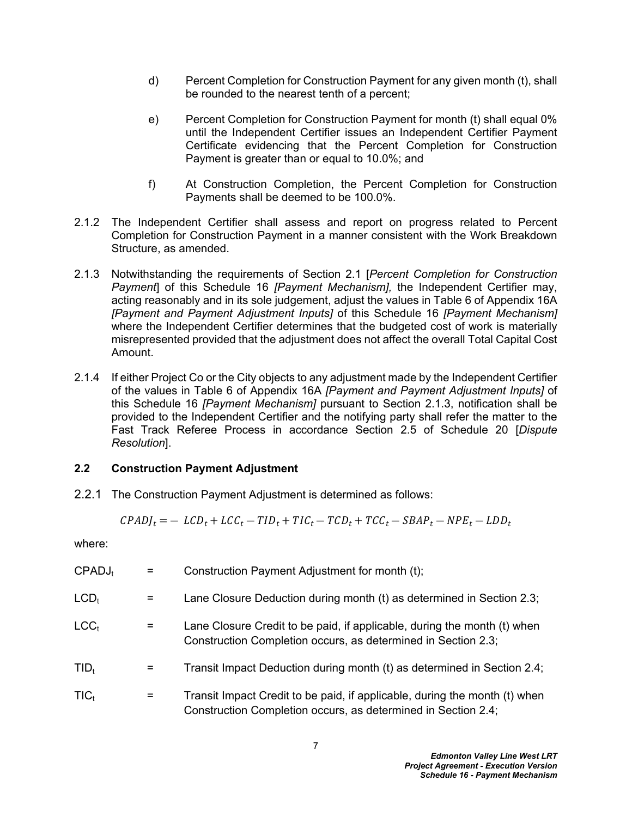- d) Percent Completion for Construction Payment for any given month (t), shall be rounded to the nearest tenth of a percent;
- e) Percent Completion for Construction Payment for month (t) shall equal 0% until the Independent Certifier issues an Independent Certifier Payment Certificate evidencing that the Percent Completion for Construction Payment is greater than or equal to 10.0%; and
- f) At Construction Completion, the Percent Completion for Construction Payments shall be deemed to be 100.0%.
- 2.1.2 The Independent Certifier shall assess and report on progress related to Percent Completion for Construction Payment in a manner consistent with the Work Breakdown Structure, as amended.
- 2.1.3 Notwithstanding the requirements of Section 2.1 [*Percent Completion for Construction Payment*] of this Schedule 16 *[Payment Mechanism],* the Independent Certifier may, acting reasonably and in its sole judgement, adjust the values in Table 6 of Appendix 16A *[Payment and Payment Adjustment Inputs]* of this Schedule 16 *[Payment Mechanism]* where the Independent Certifier determines that the budgeted cost of work is materially misrepresented provided that the adjustment does not affect the overall Total Capital Cost Amount.
- 2.1.4 If either Project Co or the City objects to any adjustment made by the Independent Certifier of the values in Table 6 of Appendix 16A *[Payment and Payment Adjustment Inputs]* of this Schedule 16 *[Payment Mechanism]* pursuant to Section 2.1.3, notification shall be provided to the Independent Certifier and the notifying party shall refer the matter to the Fast Track Referee Process in accordance Section 2.5 of Schedule 20 [*Dispute Resolution*].

### <span id="page-8-0"></span>**2.2 Construction Payment Adjustment**

2.2.1 The Construction Payment Adjustment is determined as follows:

$$
CPADJ_t = - LCD_t + LCC_t - TID_t + TIC_t - TCD_t + TCC_t - SBAP_t - NPE_t - LDD_t
$$

where:

| CPADJ <sub>t</sub> |     | Construction Payment Adjustment for month (t);                                                                                              |
|--------------------|-----|---------------------------------------------------------------------------------------------------------------------------------------------|
| $LCD_t$            | $=$ | Lane Closure Deduction during month (t) as determined in Section 2.3;                                                                       |
| LCC <sub>t</sub>   | Ξ   | Lane Closure Credit to be paid, if applicable, during the month (t) when<br>Construction Completion occurs, as determined in Section 2.3;   |
| $TID_t$            | =   | Transit Impact Deduction during month (t) as determined in Section 2.4;                                                                     |
| $TIC_t$            | =   | Transit Impact Credit to be paid, if applicable, during the month (t) when<br>Construction Completion occurs, as determined in Section 2.4; |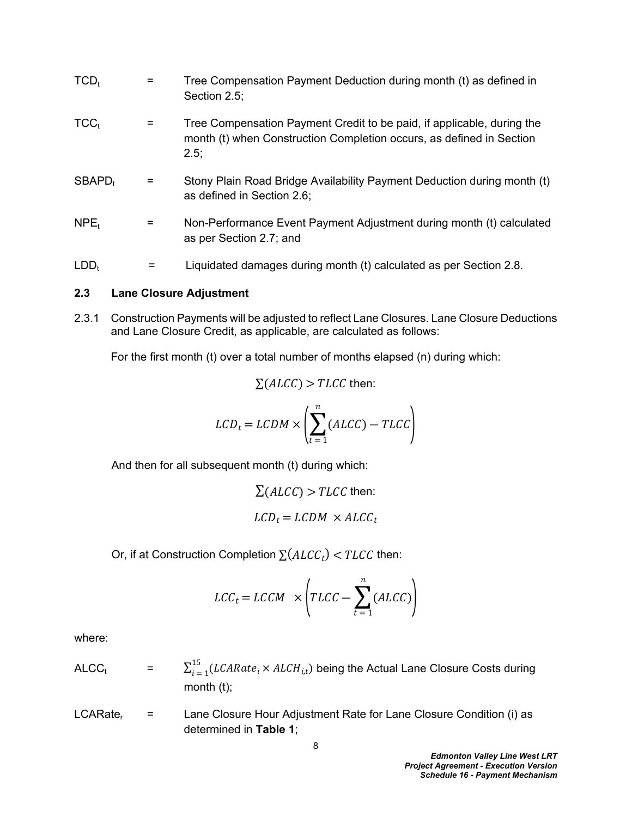| $TCD_t$            |   | Tree Compensation Payment Deduction during month (t) as defined in<br>Section 2.5;                                                                     |
|--------------------|---|--------------------------------------------------------------------------------------------------------------------------------------------------------|
| TCC <sub>t</sub>   |   | Tree Compensation Payment Credit to be paid, if applicable, during the<br>month (t) when Construction Completion occurs, as defined in Section<br>2.5; |
| SBAPD <sub>t</sub> |   | Stony Plain Road Bridge Availability Payment Deduction during month (t)<br>as defined in Section 2.6;                                                  |
| NPE <sub>t</sub>   | = | Non-Performance Event Payment Adjustment during month (t) calculated<br>as per Section 2.7; and                                                        |
| LDD <sub>t</sub>   |   | Liquidated damages during month (t) calculated as per Section 2.8.                                                                                     |

#### <span id="page-9-0"></span>**2.3 Lane Closure Adjustment**

2.3.1 Construction Payments will be adjusted to reflect Lane Closures. Lane Closure Deductions and Lane Closure Credit, as applicable, are calculated as follows:

For the first month (t) over a total number of months elapsed (n) during which:

$$
\Sigma(ALCC) > TLCC
$$
 then:

$$
LCD_t = LCDM \times \left(\sum_{t=1}^{n} (ALCC) - TLCC\right)
$$

And then for all subsequent month (t) during which:

$$
\Sigma(ALCC) > TLCC
$$
 then:  

$$
LCD_t = LCDM \times ALCC_t
$$

Or, if at Construction Completion  $\sum (ALCC_t) < T LCC$  then:

$$
LCC_t = LCCM \times \left( TLCC - \sum_{t=1}^{n} (ALCC) \right)
$$

where:

ALCC<sub>t</sub> = 
$$
\sum_{i=1}^{15} (LCARate_i \times ALCH_{i,t})
$$
 being the Actual Lane Closure Costs during  
month (t);

 $LCARate<sub>r</sub> =$ Lane Closure Hour Adjustment Rate for Lane Closure Condition (i) as determined in **[Table 1](#page-11-0)**;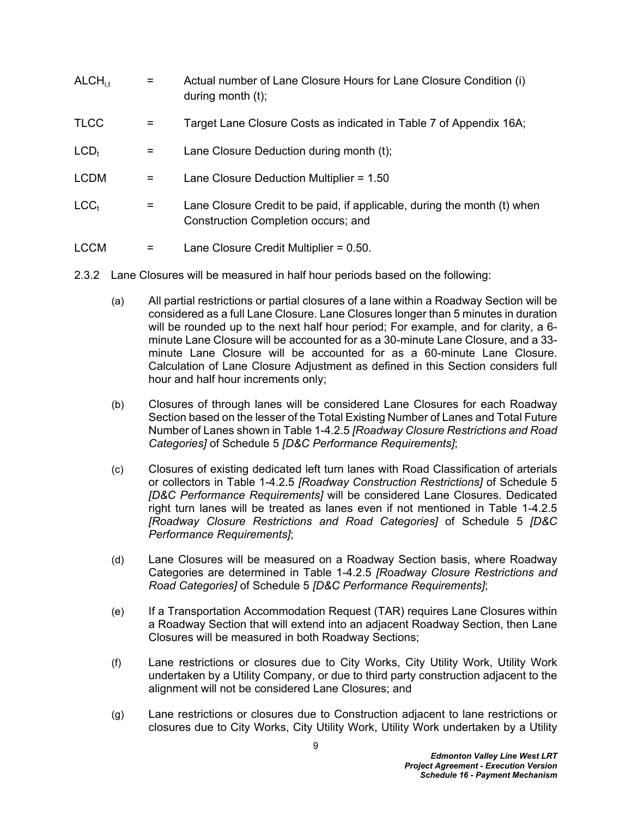| ALCH <sub>it</sub> | $=$ | Actual number of Lane Closure Hours for Lane Closure Condition (i)<br>during month $(t)$ ;                      |
|--------------------|-----|-----------------------------------------------------------------------------------------------------------------|
| <b>TLCC</b>        |     | Target Lane Closure Costs as indicated in Table 7 of Appendix 16A;                                              |
| $LCD_t$            | =   | Lane Closure Deduction during month (t);                                                                        |
| <b>LCDM</b>        | =   | Lane Closure Deduction Multiplier = $1.50$                                                                      |
| LCC <sub>t</sub>   | =   | Lane Closure Credit to be paid, if applicable, during the month (t) when<br>Construction Completion occurs; and |
| <b>LCCM</b>        | =   | Lane Closure Credit Multiplier = $0.50$ .                                                                       |

- 2.3.2 Lane Closures will be measured in half hour periods based on the following:
	- (a) All partial restrictions or partial closures of a lane within a Roadway Section will be considered as a full Lane Closure. Lane Closures longer than 5 minutes in duration will be rounded up to the next half hour period; For example, and for clarity, a 6 minute Lane Closure will be accounted for as a 30-minute Lane Closure, and a 33 minute Lane Closure will be accounted for as a 60-minute Lane Closure. Calculation of Lane Closure Adjustment as defined in this Section considers full hour and half hour increments only;
	- (b) Closures of through lanes will be considered Lane Closures for each Roadway Section based on the lesser of the Total Existing Number of Lanes and Total Future Number of Lanes shown in Table 1-4.2.5 *[Roadway Closure Restrictions and Road Categories]* of Schedule 5 *[D&C Performance Requirements]*;
	- (c) Closures of existing dedicated left turn lanes with Road Classification of arterials or collectors in Table 1-4.2.5 *[Roadway Construction Restrictions]* of Schedule 5 *[D&C Performance Requirements]* will be considered Lane Closures. Dedicated right turn lanes will be treated as lanes even if not mentioned in Table 1-4.2.5 *[Roadway Closure Restrictions and Road Categories]* of Schedule 5 *[D&C Performance Requirements]*;
	- (d) Lane Closures will be measured on a Roadway Section basis, where Roadway Categories are determined in Table 1-4.2.5 *[Roadway Closure Restrictions and Road Categories]* of Schedule 5 *[D&C Performance Requirements]*;
	- (e) If a Transportation Accommodation Request (TAR) requires Lane Closures within a Roadway Section that will extend into an adjacent Roadway Section, then Lane Closures will be measured in both Roadway Sections;
	- (f) Lane restrictions or closures due to City Works, City Utility Work, Utility Work undertaken by a Utility Company, or due to third party construction adjacent to the alignment will not be considered Lane Closures; and
	- (g) Lane restrictions or closures due to Construction adjacent to lane restrictions or closures due to City Works, City Utility Work, Utility Work undertaken by a Utility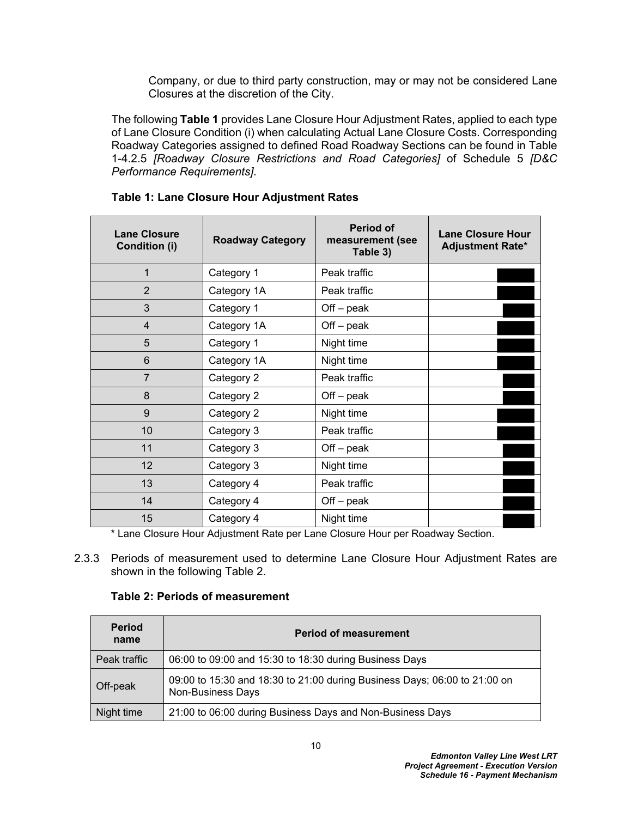Company, or due to third party construction, may or may not be considered Lane Closures at the discretion of the City.

The following **[Table 1](#page-11-0)** provides Lane Closure Hour Adjustment Rates, applied to each type of Lane Closure Condition (i) when calculating Actual Lane Closure Costs. Corresponding Roadway Categories assigned to defined Road Roadway Sections can be found in Table 1-4.2.5 *[Roadway Closure Restrictions and Road Categories]* of Schedule 5 *[D&C Performance Requirements]*.

| <b>Lane Closure</b><br><b>Condition (i)</b> | <b>Roadway Category</b>                 | <b>Period of</b><br>measurement (see<br>Table 3) | <b>Lane Closure Hour</b><br><b>Adjustment Rate*</b> |
|---------------------------------------------|-----------------------------------------|--------------------------------------------------|-----------------------------------------------------|
| 1                                           | Category 1                              | Peak traffic                                     |                                                     |
| $\overline{2}$                              | Category 1A                             | Peak traffic                                     |                                                     |
| 3                                           | Category 1                              | $Off - peak$                                     |                                                     |
| 4                                           | Category 1A                             | $Off - peak$                                     |                                                     |
| 5                                           | Category 1                              | Night time                                       |                                                     |
| 6                                           | Category 1A                             | Night time                                       |                                                     |
| $\overline{7}$                              | Category 2                              | Peak traffic                                     |                                                     |
| 8                                           | Category 2                              | $Off - peak$                                     |                                                     |
| 9                                           | Category 2                              | Night time                                       |                                                     |
| 10                                          | Category 3                              | Peak traffic                                     |                                                     |
| 11                                          | Category 3                              | $Off - peak$                                     |                                                     |
| 12                                          | Category 3                              | Night time                                       |                                                     |
| 13                                          | Category 4                              | Peak traffic                                     |                                                     |
| 14                                          | Category 4                              | $Off - peak$                                     |                                                     |
| 15<br><b>+</b><br>~'                        | Category 4<br>.<br>$\sim$ $\sim$ $\sim$ | Night time<br>$\sim$                             | $\sim$ $\sim$ $\sim$                                |

## <span id="page-11-0"></span>**Table 1: Lane Closure Hour Adjustment Rates**

\* Lane Closure Hour Adjustment Rate per Lane Closure Hour per Roadway Section.

2.3.3 Periods of measurement used to determine Lane Closure Hour Adjustment Rates are shown in the following Table 2.

## **Table 2: Periods of measurement**

| <b>Period</b><br>name | <b>Period of measurement</b>                                                                          |  |
|-----------------------|-------------------------------------------------------------------------------------------------------|--|
| Peak traffic          | 06:00 to 09:00 and 15:30 to 18:30 during Business Days                                                |  |
| Off-peak              | 09:00 to 15:30 and 18:30 to 21:00 during Business Days; 06:00 to 21:00 on<br><b>Non-Business Days</b> |  |
| Night time            | 21:00 to 06:00 during Business Days and Non-Business Days                                             |  |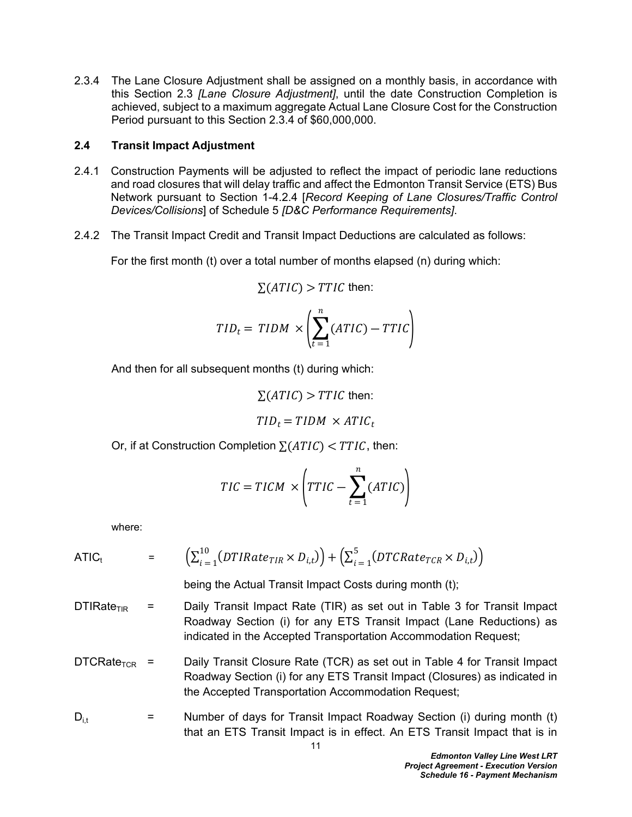2.3.4 The Lane Closure Adjustment shall be assigned on a monthly basis, in accordance with this Section 2.3 *[Lane Closure Adjustment]*, until the date Construction Completion is achieved, subject to a maximum aggregate Actual Lane Closure Cost for the Construction Period pursuant to this Section 2.3.4 of \$60,000,000.

#### <span id="page-12-0"></span>**2.4 Transit Impact Adjustment**

- 2.4.1 Construction Payments will be adjusted to reflect the impact of periodic lane reductions and road closures that will delay traffic and affect the Edmonton Transit Service (ETS) Bus Network pursuant to Section 1-4.2.4 [*Record Keeping of Lane Closures/Traffic Control Devices/Collisions*] of Schedule 5 *[D&C Performance Requirements]*.
- 2.4.2 The Transit Impact Credit and Transit Impact Deductions are calculated as follows:

For the first month (t) over a total number of months elapsed (n) during which:

$$
\Sigma(ATIC) > TTLC
$$
 then:

$$
TID_t = TIDM \times \left(\sum_{t=1}^{n} (ATIC) - TTIC\right)
$$

And then for all subsequent months (t) during which:

$$
\Sigma(ATIC) > TTLC
$$
 then:

$$
TID_t = TIDM \times ATIC_t
$$

Or, if at Construction Completion  $\sum (ATIC) < TTL$ , then:

$$
TIC = TICM \times \left(TTIC - \sum_{t=1}^{n} (ATIC)\right)
$$

where:

$$
\text{ATIC}_{t} = \left( \sum_{i=1}^{10} (DTIRate_{TIR} \times D_{i,t}) \right) + \left( \sum_{i=1}^{5} (DTCRate_{TCR} \times D_{i,t}) \right)
$$

being the Actual Transit Impact Costs during month (t);

- DTIRate<sub>TIR</sub> = Daily Transit Impact Rate (TIR) as set out in [Table 3](#page-14-1) for Transit Impact Roadway Section (i) for any ETS Transit Impact (Lane Reductions) as indicated in the Accepted Transportation Accommodation Request;
- DTCRate<sub>TCR</sub> = Daily Transit Closure Rate (TCR) as set out in [Table 4](#page-14-2) for Transit Impact Roadway Section (i) for any ETS Transit Impact (Closures) as indicated in the Accepted Transportation Accommodation Request;
- $D_{i,t}$  = Number of days for Transit Impact Roadway Section (i) during month (t) that an ETS Transit Impact is in effect. An ETS Transit Impact that is in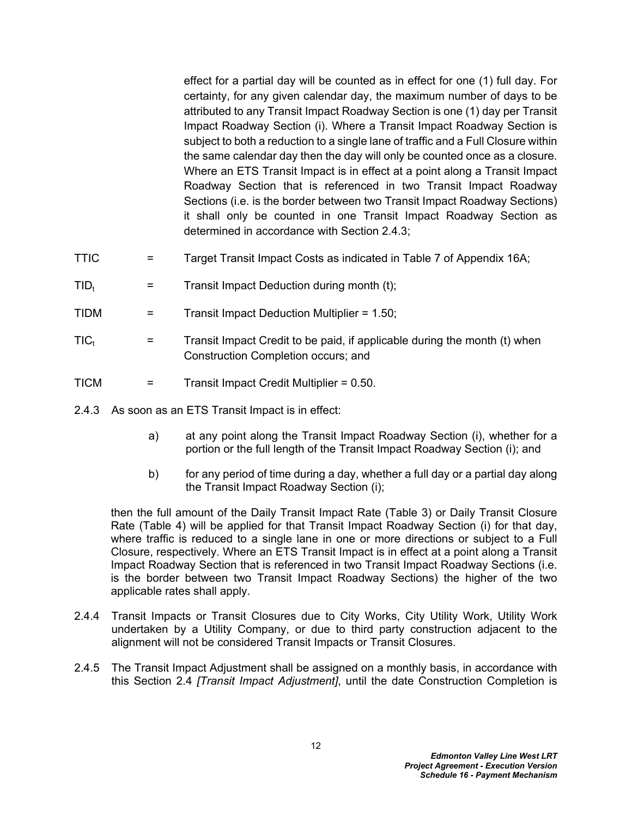effect for a partial day will be counted as in effect for one (1) full day. For certainty, for any given calendar day, the maximum number of days to be attributed to any Transit Impact Roadway Section is one (1) day per Transit Impact Roadway Section (i). Where a Transit Impact Roadway Section is subject to both a reduction to a single lane of traffic and a Full Closure within the same calendar day then the day will only be counted once as a closure. Where an ETS Transit Impact is in effect at a point along a Transit Impact Roadway Section that is referenced in two Transit Impact Roadway Sections (i.e. is the border between two Transit Impact Roadway Sections) it shall only be counted in one Transit Impact Roadway Section as determined in accordance with Section [2.4.3;](#page-13-0)

- TTIC  $=$  Target Transit Impact Costs as indicated in [Table 7](#page-29-0) of Appendix 16A;
- $TID_t$  = Transit Impact Deduction during month (t);
- TIDM = Transit Impact Deduction Multiplier = 1.50;
- $TIC_t$  = Transit Impact Credit to be paid, if applicable during the month (t) when Construction Completion occurs; and
- TICM = Transit Impact Credit Multiplier = 0.50.
- <span id="page-13-0"></span>2.4.3 As soon as an ETS Transit Impact is in effect:
	- a) at any point along the Transit Impact Roadway Section (i), whether for a portion or the full length of the Transit Impact Roadway Section (i); and
	- b) for any period of time during a day, whether a full day or a partial day along the Transit Impact Roadway Section (i);

then the full amount of the Daily Transit Impact Rate [\(Table 3\)](#page-14-1) or Daily Transit Closure Rate ([Table 4](#page-14-2)) will be applied for that Transit Impact Roadway Section (i) for that day, where traffic is reduced to a single lane in one or more directions or subject to a Full Closure, respectively. Where an ETS Transit Impact is in effect at a point along a Transit Impact Roadway Section that is referenced in two Transit Impact Roadway Sections (i.e. is the border between two Transit Impact Roadway Sections) the higher of the two applicable rates shall apply.

- 2.4.4 Transit Impacts or Transit Closures due to City Works, City Utility Work, Utility Work undertaken by a Utility Company, or due to third party construction adjacent to the alignment will not be considered Transit Impacts or Transit Closures.
- 2.4.5 The Transit Impact Adjustment shall be assigned on a monthly basis, in accordance with this Section 2.4 *[Transit Impact Adjustment]*, until the date Construction Completion is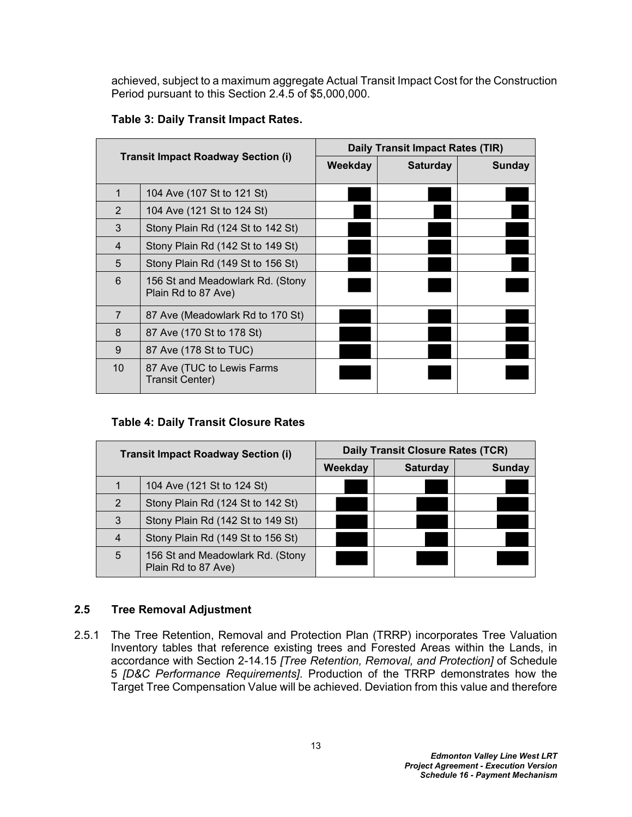achieved, subject to a maximum aggregate Actual Transit Impact Cost for the Construction Period pursuant to this Section 2.4.5 of \$5,000,000.

| <b>Transit Impact Roadway Section (i)</b> |                                                         | Daily Transit Impact Rates (TIR) |                 |               |
|-------------------------------------------|---------------------------------------------------------|----------------------------------|-----------------|---------------|
|                                           |                                                         | Weekday                          | <b>Saturday</b> | <b>Sunday</b> |
| 1                                         | 104 Ave (107 St to 121 St)                              |                                  |                 |               |
| $\overline{2}$                            | 104 Ave (121 St to 124 St)                              |                                  |                 |               |
| 3                                         | Stony Plain Rd (124 St to 142 St)                       |                                  |                 |               |
| 4                                         | Stony Plain Rd (142 St to 149 St)                       |                                  |                 |               |
| 5                                         | Stony Plain Rd (149 St to 156 St)                       |                                  |                 |               |
| 6                                         | 156 St and Meadowlark Rd. (Stony<br>Plain Rd to 87 Ave) |                                  |                 |               |
| $\overline{7}$                            | 87 Ave (Meadowlark Rd to 170 St)                        |                                  |                 |               |
| 8                                         | 87 Ave (170 St to 178 St)                               |                                  |                 |               |
| 9                                         | 87 Ave (178 St to TUC)                                  |                                  |                 |               |
| 10                                        | 87 Ave (TUC to Lewis Farms<br><b>Transit Center)</b>    |                                  |                 |               |

# <span id="page-14-1"></span>**Table 3: Daily Transit Impact Rates.**

# <span id="page-14-2"></span>**Table 4: Daily Transit Closure Rates**

|   | <b>Transit Impact Roadway Section (i)</b>               | <b>Daily Transit Closure Rates (TCR)</b> |                 |               |
|---|---------------------------------------------------------|------------------------------------------|-----------------|---------------|
|   |                                                         | Weekday                                  | <b>Saturday</b> | <b>Sunday</b> |
|   | 104 Ave (121 St to 124 St)                              |                                          |                 |               |
| 2 | Stony Plain Rd (124 St to 142 St)                       |                                          |                 |               |
| 3 | Stony Plain Rd (142 St to 149 St)                       |                                          |                 |               |
| 4 | Stony Plain Rd (149 St to 156 St)                       |                                          |                 |               |
| 5 | 156 St and Meadowlark Rd. (Stony<br>Plain Rd to 87 Ave) |                                          |                 |               |

# <span id="page-14-0"></span>**2.5 Tree Removal Adjustment**

2.5.1 The Tree Retention, Removal and Protection Plan (TRRP) incorporates Tree Valuation Inventory tables that reference existing trees and Forested Areas within the Lands, in accordance with Section 2-14.15 *[Tree Retention, Removal, and Protection]* of Schedule 5 *[D&C Performance Requirements]*. Production of the TRRP demonstrates how the Target Tree Compensation Value will be achieved. Deviation from this value and therefore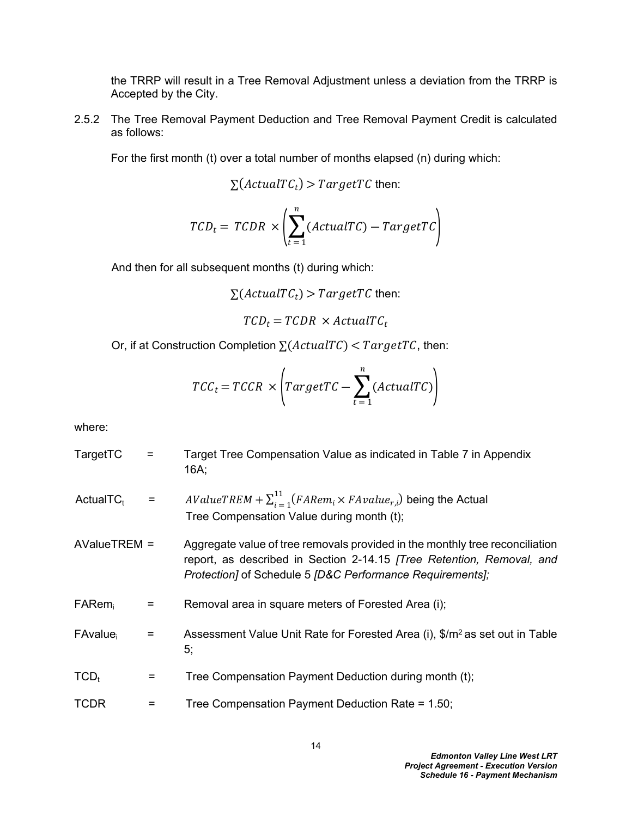the TRRP will result in a Tree Removal Adjustment unless a deviation from the TRRP is Accepted by the City.

2.5.2 The Tree Removal Payment Deduction and Tree Removal Payment Credit is calculated as follows:

For the first month (t) over a total number of months elapsed (n) during which:

$$
\Sigma(\text{ActualTC}_t) > \text{TargetTC}
$$
 then:

$$
TCD_t = TCDR \times \left(\sum_{t=1}^{n} (ActualTC) - TargetTC\right)
$$

And then for all subsequent months (t) during which:

$$
\Sigma(ActualTC_t) > TargetTC
$$
 then:

 $TCD_t = TCDR \times ActualTC_t$ 

Or, if at Construction Completion  $\sum (ActualTC) < TargetTC$ , then:

$$
TCC_t = TCCR \times \left( TargetTC - \sum_{t=1}^{n} (ActualTC) \right)
$$

where:

TargetTC = Target Tree Compensation Value as indicated in [Table 7](#page-29-0) in Appendix 16A; ActualTC<sub>t</sub> =  $AValueTREM + \sum_{i=1}^{11}$  $\frac{11}{i=1}$ (*FARem<sub>i</sub>* × *FAvalue<sub>r,i</sub>*) being the Actual Tree Compensation Value during month (t); AValueTREM = Aggregate value of tree removals provided in the monthly tree reconciliation report, as described in Section 2-14.15 *[Tree Retention, Removal, and Protection]* of Schedule 5 *[D&C Performance Requirements];*  $FARem_i$  = Removal area in square meters of Forested Area (i); FAvalue<sub>i</sub>  $=$  Assessment Value Unit Rate for Forested Area (i),  $\frac{m^2}{2}$  as set out in Table [5](#page-16-1);  $TCD_t$  = Tree Compensation Payment Deduction during month (t); TCDR = Tree Compensation Payment Deduction Rate = 1.50;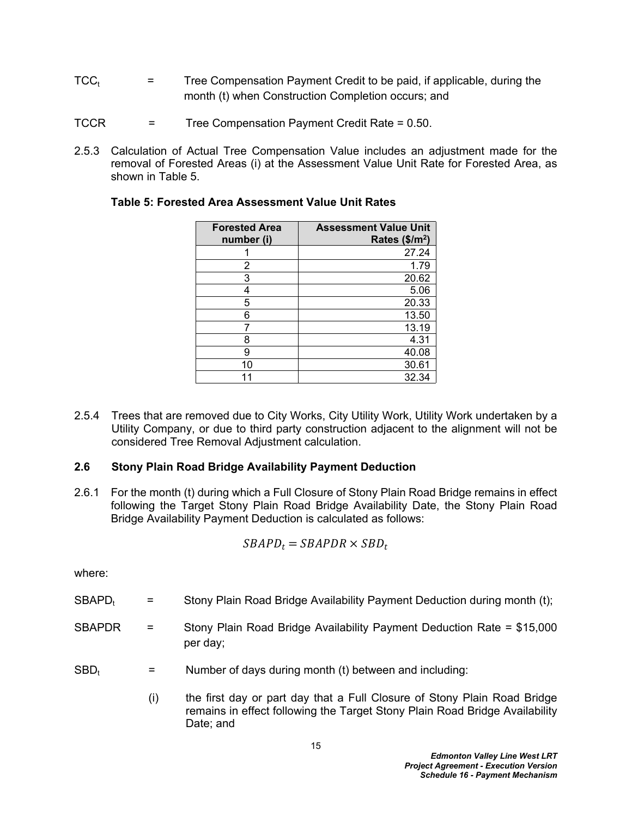- $TCC_t$  = Tree Compensation Payment Credit to be paid, if applicable, during the month (t) when Construction Completion occurs; and
- TCCR = Tree Compensation Payment Credit Rate = 0.50.
- 2.5.3 Calculation of Actual Tree Compensation Value includes an adjustment made for the removal of Forested Areas (i) at the Assessment Value Unit Rate for Forested Area, as shown in [Table 5.](#page-16-1)

| <b>Forested Area</b><br>number (i) | <b>Assessment Value Unit</b><br>Rates $($/m^2)$ |
|------------------------------------|-------------------------------------------------|
|                                    | 27.24                                           |
| 2                                  | 1.79                                            |
| 3                                  | 20.62                                           |
| 4                                  | 5.06                                            |
| 5                                  | 20.33                                           |
| 6                                  | 13.50                                           |
|                                    | 13.19                                           |
| 8                                  | 4.31                                            |
| 9                                  | 40.08                                           |
| 10                                 | 30.61                                           |
|                                    | 32.34                                           |

#### <span id="page-16-1"></span>**Table 5: Forested Area Assessment Value Unit Rates**

2.5.4 Trees that are removed due to City Works, City Utility Work, Utility Work undertaken by a Utility Company, or due to third party construction adjacent to the alignment will not be considered Tree Removal Adjustment calculation.

## <span id="page-16-0"></span>**2.6 Stony Plain Road Bridge Availability Payment Deduction**

2.6.1 For the month (t) during which a Full Closure of Stony Plain Road Bridge remains in effect following the Target Stony Plain Road Bridge Availability Date, the Stony Plain Road Bridge Availability Payment Deduction is calculated as follows:

$$
SBAPD_t = SBAPDR \times SBD_t
$$

where:

- SBAPD<sub>t</sub> = Stony Plain Road Bridge Availability Payment Deduction during month (t);
- SBAPDR = Stony Plain Road Bridge Availability Payment Deduction Rate = \$15,000 per day;
- $SBD_t$  = Number of days during month (t) between and including:
	- (i) the first day or part day that a Full Closure of Stony Plain Road Bridge remains in effect following the Target Stony Plain Road Bridge Availability Date; and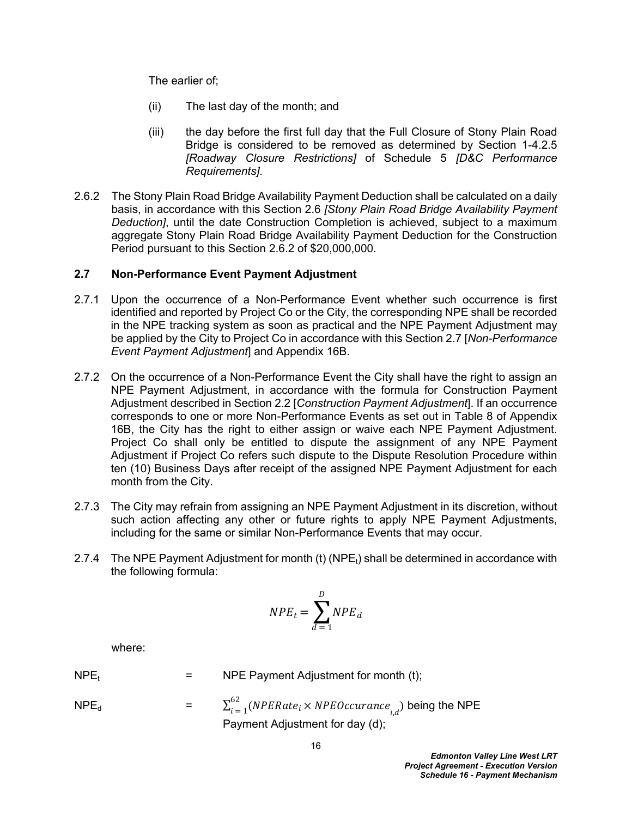The earlier of;

- (ii) The last day of the month; and
- (iii) the day before the first full day that the Full Closure of Stony Plain Road Bridge is considered to be removed as determined by Section 1-4.2.5 *[Roadway Closure Restrictions]* of Schedule 5 *[D&C Performance Requirements]*.
- 2.6.2 The Stony Plain Road Bridge Availability Payment Deduction shall be calculated on a daily basis, in accordance with this Section 2.6 *[Stony Plain Road Bridge Availability Payment Deduction]*, until the date Construction Completion is achieved, subject to a maximum aggregate Stony Plain Road Bridge Availability Payment Deduction for the Construction Period pursuant to this Section 2.6.2 of \$20,000,000.

### <span id="page-17-0"></span>**2.7 Non-Performance Event Payment Adjustment**

- 2.7.1 Upon the occurrence of a Non-Performance Event whether such occurrence is first identified and reported by Project Co or the City, the corresponding NPE shall be recorded in the NPE tracking system as soon as practical and the NPE Payment Adjustment may be applied by the City to Project Co in accordance with this Section [2.7](#page-17-0) [*Non-Performance Event Payment Adjustment*] and Appendix 16B.
- 2.7.2 On the occurrence of a Non-Performance Event the City shall have the right to assign an NPE Payment Adjustment, in accordance with the formula for Construction Payment Adjustment described in Section 2.2 [*Construction Payment Adjustment*]. If an occurrence corresponds to one or more Non-Performance Events as set out in [Table 8](#page-32-0) of Appendix 16B, the City has the right to either assign or waive each NPE Payment Adjustment. Project Co shall only be entitled to dispute the assignment of any NPE Payment Adjustment if Project Co refers such dispute to the Dispute Resolution Procedure within ten (10) Business Days after receipt of the assigned NPE Payment Adjustment for each month from the City.
- 2.7.3 The City may refrain from assigning an NPE Payment Adjustment in its discretion, without such action affecting any other or future rights to apply NPE Payment Adjustments, including for the same or similar Non-Performance Events that may occur.
- 2.7.4 The NPE Payment Adjustment for month (t) (NPE<sub>t</sub>) shall be determined in accordance with the following formula:

$$
NPE_t = \sum_{d=1}^{D} NPE_d
$$

where:

- $NPE_t$  = NPE Payment Adjustment for month (t);
- $NPE_d$  = 62  $\sum\limits_{i \,=\, 1}^{02}(NPERate_i\times NPEOccurance_{i,d})$  being the NPE Payment Adjustment for day (d);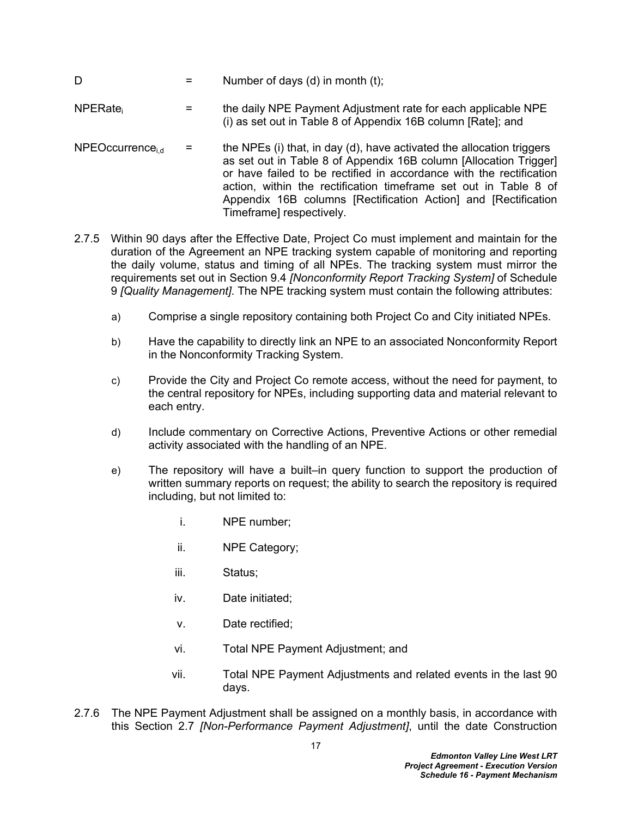- $D =$  Number of days (d) in month (t);
- $NPERate<sub>i</sub>$  = the daily NPE Payment Adjustment rate for each applicable NPE (i) as set out in Table 8 of Appendix 16B column [Rate]; and
- NPEOccurrence<sub>id</sub> = the NPEs (i) that, in day (d), have activated the allocation triggers as set out in Table 8 of Appendix 16B column [Allocation Trigger] or have failed to be rectified in accordance with the rectification action, within the rectification timeframe set out in Table 8 of Appendix 16B columns [Rectification Action] and [Rectification Timeframe] respectively.
- 2.7.5 Within 90 days after the Effective Date, Project Co must implement and maintain for the duration of the Agreement an NPE tracking system capable of monitoring and reporting the daily volume, status and timing of all NPEs. The tracking system must mirror the requirements set out in Section 9.4 *[Nonconformity Report Tracking System]* of Schedule 9 *[Quality Management]*. The NPE tracking system must contain the following attributes:
	- a) Comprise a single repository containing both Project Co and City initiated NPEs.
	- b) Have the capability to directly link an NPE to an associated Nonconformity Report in the Nonconformity Tracking System.
	- c) Provide the City and Project Co remote access, without the need for payment, to the central repository for NPEs, including supporting data and material relevant to each entry.
	- d) Include commentary on Corrective Actions, Preventive Actions or other remedial activity associated with the handling of an NPE.
	- e) The repository will have a built–in query function to support the production of written summary reports on request; the ability to search the repository is required including, but not limited to:
		- i. NPE number;
		- ii. NPE Category;
		- iii. Status;
		- iv. Date initiated;
		- v. Date rectified;
		- vi. Total NPE Payment Adjustment; and
		- vii. Total NPE Payment Adjustments and related events in the last 90 days.
- 2.7.6 The NPE Payment Adjustment shall be assigned on a monthly basis, in accordance with this Section 2.7 *[Non-Performance Payment Adjustment]*, until the date Construction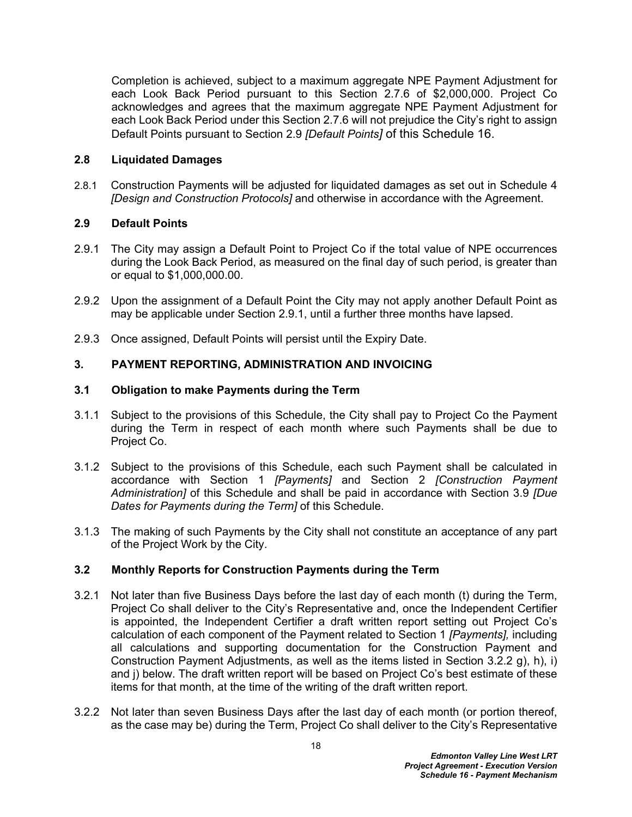Completion is achieved, subject to a maximum aggregate NPE Payment Adjustment for each Look Back Period pursuant to this Section 2.7.6 of \$2,000,000. Project Co acknowledges and agrees that the maximum aggregate NPE Payment Adjustment for each Look Back Period under this Section 2.7.6 will not prejudice the City's right to assign Default Points pursuant to Section 2.9 *[Default Points]* of this Schedule 16.

#### <span id="page-19-0"></span>**2.8 Liquidated Damages**

2.8.1 Construction Payments will be adjusted for liquidated damages as set out in Schedule 4 *[Design and Construction Protocols]* and otherwise in accordance with the Agreement.

### <span id="page-19-1"></span>**2.9 Default Points**

- 2.9.1 The City may assign a Default Point to Project Co if the total value of NPE occurrences during the Look Back Period, as measured on the final day of such period, is greater than or equal to \$1,000,000.00.
- 2.9.2 Upon the assignment of a Default Point the City may not apply another Default Point as may be applicable under Section 2.9.1, until a further three months have lapsed.
- 2.9.3 Once assigned, Default Points will persist until the Expiry Date.

#### <span id="page-19-2"></span>**3. PAYMENT REPORTING, ADMINISTRATION AND INVOICING**

#### <span id="page-19-3"></span>**3.1 Obligation to make Payments during the Term**

- 3.1.1 Subject to the provisions of this Schedule, the City shall pay to Project Co the Payment during the Term in respect of each month where such Payments shall be due to Project Co.
- 3.1.2 Subject to the provisions of this Schedule, each such Payment shall be calculated in accordance with Section [1](#page-2-0) *[Payments]* and Section 2 *[Construction Payment Administration]* of this Schedule and shall be paid in accordance with Section 3.9 *[Due Dates for Payments during the Term]* of this Schedule.
- 3.1.3 The making of such Payments by the City shall not constitute an acceptance of any part of the Project Work by the City.

### <span id="page-19-4"></span>**3.2 Monthly Reports for Construction Payments during the Term**

- <span id="page-19-6"></span>3.2.1 Not later than five Business Days before the last day of each month (t) during the Term, Project Co shall deliver to the City's Representative and, once the Independent Certifier is appointed, the Independent Certifier a draft written report setting out Project Co's calculation of each component of the Payment related to Section [1](#page-2-0) *[Payments],* including all calculations and supporting documentation for the Construction Payment and Construction Payment Adjustments, as well as the items listed in Section [3.2.2](#page-19-5) g), h), i) and j) below. The draft written report will be based on Project Co's best estimate of these items for that month, at the time of the writing of the draft written report.
- <span id="page-19-5"></span>3.2.2 Not later than seven Business Days after the last day of each month (or portion thereof, as the case may be) during the Term, Project Co shall deliver to the City's Representative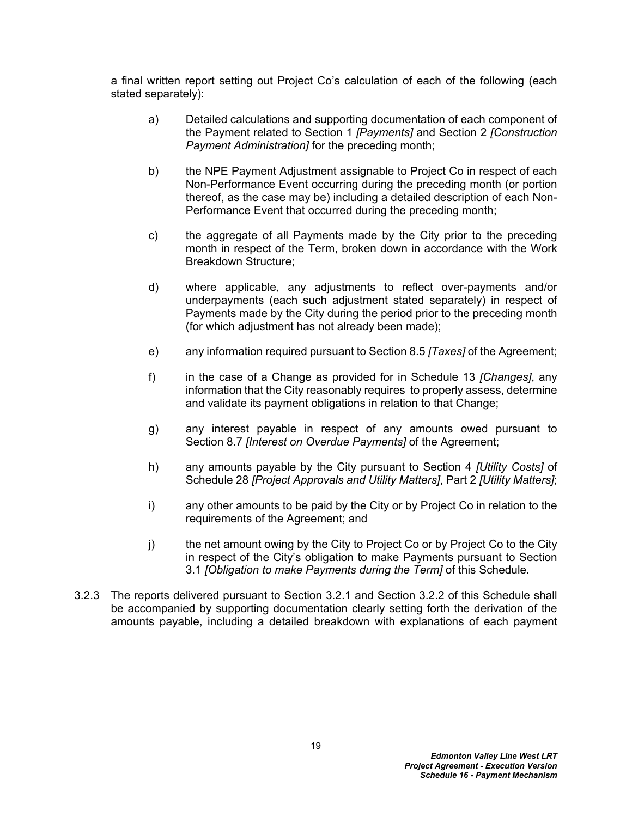a final written report setting out Project Co's calculation of each of the following (each stated separately):

- a) Detailed calculations and supporting documentation of each component of the Payment related to Section [1](#page-2-0) *[Payments]* and Section 2 *[Construction Payment Administration]* for the preceding month;
- b) the NPE Payment Adjustment assignable to Project Co in respect of each Non-Performance Event occurring during the preceding month (or portion thereof, as the case may be) including a detailed description of each Non-Performance Event that occurred during the preceding month;
- c) the aggregate of all Payments made by the City prior to the preceding month in respect of the Term, broken down in accordance with the Work Breakdown Structure;
- d) where applicable*,* any adjustments to reflect over-payments and/or underpayments (each such adjustment stated separately) in respect of Payments made by the City during the period prior to the preceding month (for which adjustment has not already been made);
- e) any information required pursuant to Section 8.5 *[Taxes]* of the Agreement;
- f) in the case of a Change as provided for in Schedule 13 *[Changes]*, any information that the City reasonably requires to properly assess, determine and validate its payment obligations in relation to that Change;
- g) any interest payable in respect of any amounts owed pursuant to Section 8.7 *[Interest on Overdue Payments]* of the Agreement;
- h) any amounts payable by the City pursuant to Section 4 *[Utility Costs]* of Schedule 28 *[Project Approvals and Utility Matters]*, Part 2 *[Utility Matters]*;
- i) any other amounts to be paid by the City or by Project Co in relation to the requirements of the Agreement; and
- j) the net amount owing by the City to Project Co or by Project Co to the City in respect of the City's obligation to make Payments pursuant to Section [3.1](#page-19-3) *[Obligation to make Payments during the Term]* of this Schedule.
- 3.2.3 The reports delivered pursuant to Section [3.2.1](#page-19-6) and Section [3.2.2](#page-19-5) of this Schedule shall be accompanied by supporting documentation clearly setting forth the derivation of the amounts payable, including a detailed breakdown with explanations of each payment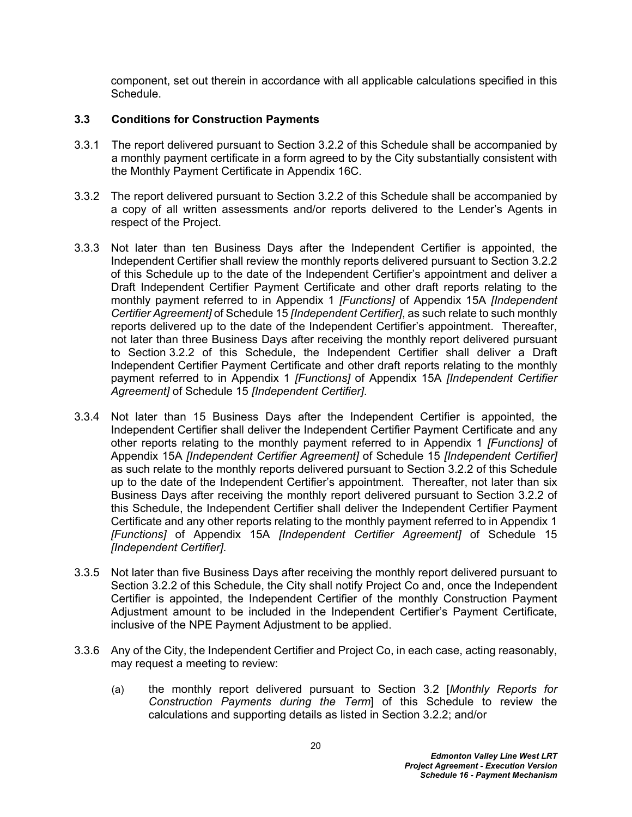component, set out therein in accordance with all applicable calculations specified in this Schedule.

## <span id="page-21-0"></span>**3.3 Conditions for Construction Payments**

- 3.3.1 The report delivered pursuant to Section [3.2.2](#page-19-5) of this Schedule shall be accompanied by a monthly payment certificate in a form agreed to by the City substantially consistent with the Monthly Payment Certificate in Appendix 16C.
- 3.3.2 The report delivered pursuant to Section [3.2.2](#page-19-5) of this Schedule shall be accompanied by a copy of all written assessments and/or reports delivered to the Lender's Agents in respect of the Project.
- 3.3.3 Not later than ten Business Days after the Independent Certifier is appointed, the Independent Certifier shall review the monthly reports delivered pursuant to Section [3.2.2](#page-19-5) of this Schedule up to the date of the Independent Certifier's appointment and deliver a Draft Independent Certifier Payment Certificate and other draft reports relating to the monthly payment referred to in Appendix 1 *[Functions]* of Appendix 15A *[Independent Certifier Agreement]* of Schedule 15 *[Independent Certifier]*, as such relate to such monthly reports delivered up to the date of the Independent Certifier's appointment. Thereafter, not later than three Business Days after receiving the monthly report delivered pursuant to Section [3.2.2](#page-19-5) of this Schedule, the Independent Certifier shall deliver a Draft Independent Certifier Payment Certificate and other draft reports relating to the monthly payment referred to in Appendix 1 *[Functions]* of Appendix 15A *[Independent Certifier Agreement]* of Schedule 15 *[Independent Certifier]*.
- <span id="page-21-1"></span>3.3.4 Not later than 15 Business Days after the Independent Certifier is appointed, the Independent Certifier shall deliver the Independent Certifier Payment Certificate and any other reports relating to the monthly payment referred to in Appendix 1 *[Functions]* of Appendix 15A *[Independent Certifier Agreement]* of Schedule 15 *[Independent Certifier]* as such relate to the monthly reports delivered pursuant to Section [3.2.2](#page-19-5) of this Schedule up to the date of the Independent Certifier's appointment. Thereafter, not later than six Business Days after receiving the monthly report delivered pursuant to Section [3.2.2](#page-19-5) of this Schedule, the Independent Certifier shall deliver the Independent Certifier Payment Certificate and any other reports relating to the monthly payment referred to in Appendix 1 *[Functions]* of Appendix 15A *[Independent Certifier Agreement]* of Schedule 15 *[Independent Certifier]*.
- 3.3.5 Not later than five Business Days after receiving the monthly report delivered pursuant to Section 3.2.2 of this Schedule, the City shall notify Project Co and, once the Independent Certifier is appointed, the Independent Certifier of the monthly Construction Payment Adjustment amount to be included in the Independent Certifier's Payment Certificate, inclusive of the NPE Payment Adjustment to be applied.
- 3.3.6 Any of the City, the Independent Certifier and Project Co, in each case, acting reasonably, may request a meeting to review:
	- (a) the monthly report delivered pursuant to Section 3.2 [*Monthly Reports for Construction Payments during the Term*] of this Schedule to review the calculations and supporting details as listed in Section 3.2.2; and/or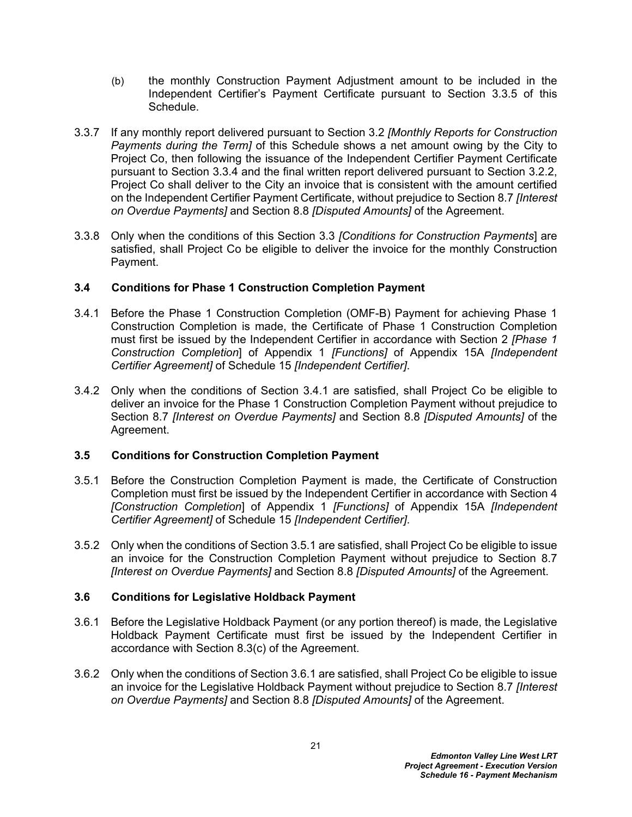- (b) the monthly Construction Payment Adjustment amount to be included in the Independent Certifier's Payment Certificate pursuant to Section 3.3.5 of this Schedule.
- 3.3.7 If any monthly report delivered pursuant to Section [3.2](#page-19-4) *[Monthly Reports for Construction Payments during the Term]* of this Schedule shows a net amount owing by the City to Project Co, then following the issuance of the Independent Certifier Payment Certificate pursuant to Section [3.3.4](#page-21-1) and the final written report delivered pursuant to Section 3.2.2, Project Co shall deliver to the City an invoice that is consistent with the amount certified on the Independent Certifier Payment Certificate, without prejudice to Section 8.7 *[Interest on Overdue Payments]* and Section 8.8 *[Disputed Amounts]* of the Agreement.
- 3.3.8 Only when the conditions of this Section 3.3 *[Conditions for Construction Payments*] are satisfied, shall Project Co be eligible to deliver the invoice for the monthly Construction Payment.

## <span id="page-22-0"></span>**3.4 Conditions for Phase 1 Construction Completion Payment**

- 3.4.1 Before the Phase 1 Construction Completion (OMF-B) Payment for achieving Phase 1 Construction Completion is made, the Certificate of Phase 1 Construction Completion must first be issued by the Independent Certifier in accordance with Section 2 *[Phase 1 Construction Completion*] of Appendix 1 *[Functions]* of Appendix 15A *[Independent Certifier Agreement]* of Schedule 15 *[Independent Certifier]*.
- 3.4.2 Only when the conditions of Section 3.4.1 are satisfied, shall Project Co be eligible to deliver an invoice for the Phase 1 Construction Completion Payment without prejudice to Section 8.7 *[Interest on Overdue Payments]* and Section 8.8 *[Disputed Amounts]* of the Agreement.

### <span id="page-22-1"></span>**3.5 Conditions for Construction Completion Payment**

- 3.5.1 Before the Construction Completion Payment is made, the Certificate of Construction Completion must first be issued by the Independent Certifier in accordance with Section 4 *[Construction Completion*] of Appendix 1 *[Functions]* of Appendix 15A *[Independent Certifier Agreement]* of Schedule 15 *[Independent Certifier]*.
- 3.5.2 Only when the conditions of Section 3.5.1 are satisfied, shall Project Co be eligible to issue an invoice for the Construction Completion Payment without prejudice to Section 8.7 *[Interest on Overdue Payments]* and Section 8.8 *[Disputed Amounts]* of the Agreement.

### <span id="page-22-2"></span>**3.6 Conditions for Legislative Holdback Payment**

- 3.6.1 Before the Legislative Holdback Payment (or any portion thereof) is made, the Legislative Holdback Payment Certificate must first be issued by the Independent Certifier in accordance with Section 8.3(c) of the Agreement.
- 3.6.2 Only when the conditions of Section 3.6.1 are satisfied, shall Project Co be eligible to issue an invoice for the Legislative Holdback Payment without prejudice to Section 8.7 *[Interest on Overdue Payments]* and Section 8.8 *[Disputed Amounts]* of the Agreement.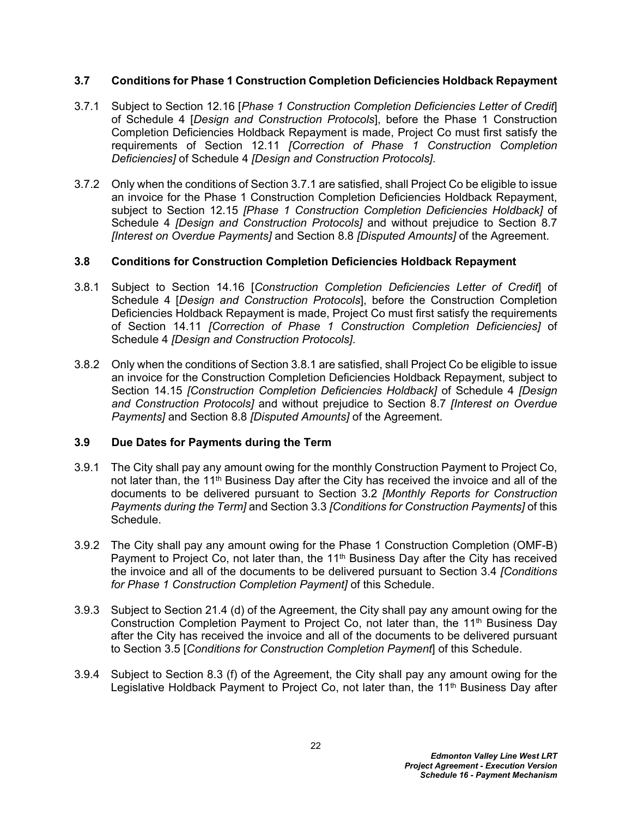#### <span id="page-23-0"></span>**3.7 Conditions for Phase 1 Construction Completion Deficiencies Holdback Repayment**

- 3.7.1 Subject to Section 12.16 [*Phase 1 Construction Completion Deficiencies Letter of Credit*] of Schedule 4 [*Design and Construction Protocols*], before the Phase 1 Construction Completion Deficiencies Holdback Repayment is made, Project Co must first satisfy the requirements of Section 12.11 *[Correction of Phase 1 Construction Completion Deficiencies]* of Schedule 4 *[Design and Construction Protocols]*.
- 3.7.2 Only when the conditions of Section 3.7.1 are satisfied, shall Project Co be eligible to issue an invoice for the Phase 1 Construction Completion Deficiencies Holdback Repayment, subject to Section 12.15 *[Phase 1 Construction Completion Deficiencies Holdback]* of Schedule 4 *[Design and Construction Protocols]* and without prejudice to Section 8.7 *[Interest on Overdue Payments]* and Section 8.8 *[Disputed Amounts]* of the Agreement.

### <span id="page-23-1"></span>**3.8 Conditions for Construction Completion Deficiencies Holdback Repayment**

- 3.8.1 Subject to Section 14.16 [*Construction Completion Deficiencies Letter of Credit*] of Schedule 4 [*Design and Construction Protocols*], before the Construction Completion Deficiencies Holdback Repayment is made, Project Co must first satisfy the requirements of Section 14.11 *[Correction of Phase 1 Construction Completion Deficiencies]* of Schedule 4 *[Design and Construction Protocols]*.
- 3.8.2 Only when the conditions of Section 3.8.1 are satisfied, shall Project Co be eligible to issue an invoice for the Construction Completion Deficiencies Holdback Repayment, subject to Section 14.15 *[Construction Completion Deficiencies Holdback]* of Schedule 4 *[Design and Construction Protocols]* and without prejudice to Section 8.7 *[Interest on Overdue Payments]* and Section 8.8 *[Disputed Amounts]* of the Agreement.

### <span id="page-23-2"></span>**3.9 Due Dates for Payments during the Term**

- 3.9.1 The City shall pay any amount owing for the monthly Construction Payment to Project Co, not later than, the 11<sup>th</sup> Business Day after the City has received the invoice and all of the documents to be delivered pursuant to Section 3.2 *[Monthly Reports for Construction Payments during the Term]* and Section 3.3 *[Conditions for Construction Payments]* of this Schedule.
- 3.9.2 The City shall pay any amount owing for the Phase 1 Construction Completion (OMF-B) Payment to Project Co, not later than, the  $11<sup>th</sup>$  Business Day after the City has received the invoice and all of the documents to be delivered pursuant to Section 3.4 *[Conditions for Phase 1 Construction Completion Payment]* of this Schedule.
- 3.9.3 Subject to Section 21.4 (d) of the Agreement, the City shall pay any amount owing for the Construction Completion Payment to Project Co, not later than, the 11th Business Day after the City has received the invoice and all of the documents to be delivered pursuant to Section 3.5 [*Conditions for Construction Completion Payment*] of this Schedule.
- 3.9.4 Subject to Section 8.3 (f) of the Agreement, the City shall pay any amount owing for the Legislative Holdback Payment to Project Co, not later than, the 11<sup>th</sup> Business Day after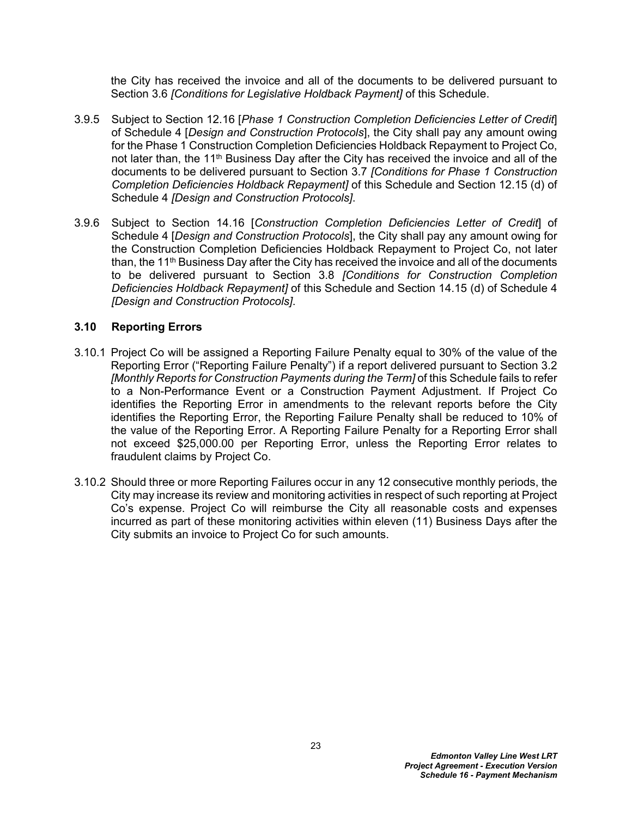the City has received the invoice and all of the documents to be delivered pursuant to Section 3.6 *[Conditions for Legislative Holdback Payment]* of this Schedule.

- 3.9.5 Subject to Section 12.16 [*Phase 1 Construction Completion Deficiencies Letter of Credit*] of Schedule 4 [*Design and Construction Protocols*], the City shall pay any amount owing for the Phase 1 Construction Completion Deficiencies Holdback Repayment to Project Co, not later than, the 11<sup>th</sup> Business Day after the City has received the invoice and all of the documents to be delivered pursuant to Section 3.7 *[Conditions for Phase 1 Construction Completion Deficiencies Holdback Repayment]* of this Schedule and Section 12.15 (d) of Schedule 4 *[Design and Construction Protocols]*.
- 3.9.6 Subject to Section 14.16 [*Construction Completion Deficiencies Letter of Credit*] of Schedule 4 [*Design and Construction Protocols*], the City shall pay any amount owing for the Construction Completion Deficiencies Holdback Repayment to Project Co, not later than, the 11<sup>th</sup> Business Day after the City has received the invoice and all of the documents to be delivered pursuant to Section 3.8 *[Conditions for Construction Completion Deficiencies Holdback Repayment]* of this Schedule and Section 14.15 (d) of Schedule 4 *[Design and Construction Protocols]*.

### <span id="page-24-0"></span>**3.10 Reporting Errors**

- 3.10.1 Project Co will be assigned a Reporting Failure Penalty equal to 30% of the value of the Reporting Error ("Reporting Failure Penalty") if a report delivered pursuant to Section [3.2](#page-19-4)  *[Monthly Reports for Construction Payments during the Term]* of this Schedule fails to refer to a Non-Performance Event or a Construction Payment Adjustment. If Project Co identifies the Reporting Error in amendments to the relevant reports before the City identifies the Reporting Error, the Reporting Failure Penalty shall be reduced to 10% of the value of the Reporting Error. A Reporting Failure Penalty for a Reporting Error shall not exceed \$25,000.00 per Reporting Error, unless the Reporting Error relates to fraudulent claims by Project Co.
- 3.10.2 Should three or more Reporting Failures occur in any 12 consecutive monthly periods, the City may increase its review and monitoring activities in respect of such reporting at Project Co's expense. Project Co will reimburse the City all reasonable costs and expenses incurred as part of these monitoring activities within eleven (11) Business Days after the City submits an invoice to Project Co for such amounts.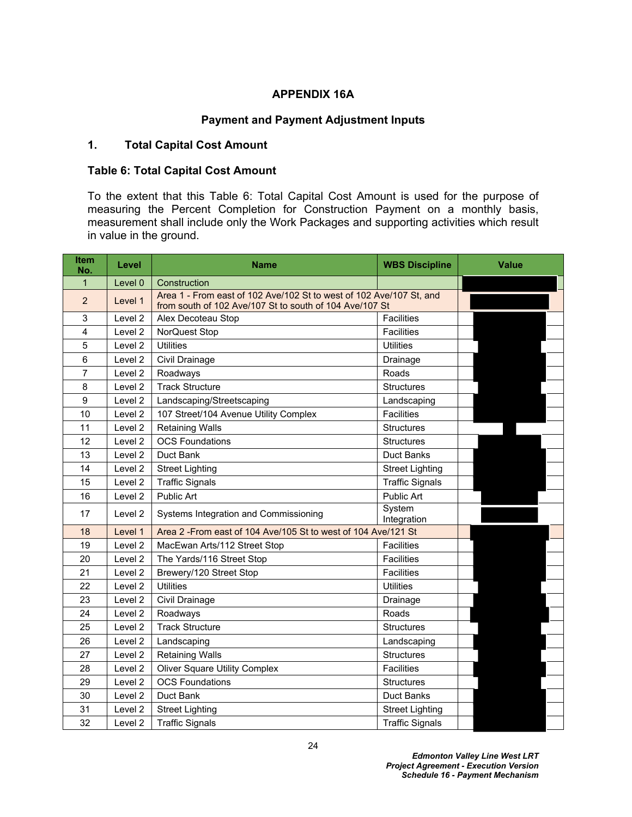#### **APPENDIX 16A**

## **Payment and Payment Adjustment Inputs**

## **1. Total Capital Cost Amount**

#### <span id="page-25-0"></span>**Table 6: Total Capital Cost Amount**

To the extent that this Table 6: Total Capital Cost Amount is used for the purpose of measuring the Percent Completion for Construction Payment on a monthly basis, measurement shall include only the Work Packages and supporting activities which result in value in the ground.

| <b>Item</b><br>No. | Level              | <b>Name</b>                                                                                                                    | <b>Value</b>           |  |
|--------------------|--------------------|--------------------------------------------------------------------------------------------------------------------------------|------------------------|--|
| $\mathbf{1}$       | Level 0            | Construction                                                                                                                   |                        |  |
| 2                  | Level 1            | Area 1 - From east of 102 Ave/102 St to west of 102 Ave/107 St, and<br>from south of 102 Ave/107 St to south of 104 Ave/107 St |                        |  |
| 3                  | Level 2            | Alex Decoteau Stop                                                                                                             | <b>Facilities</b>      |  |
| 4                  | Level 2            | NorQuest Stop                                                                                                                  | <b>Facilities</b>      |  |
| 5                  | Level 2            | <b>Utilities</b>                                                                                                               | <b>Utilities</b>       |  |
| 6                  | Level 2            | Civil Drainage                                                                                                                 | Drainage               |  |
| 7                  | Level 2            | Roadways                                                                                                                       | Roads                  |  |
| 8                  | Level <sub>2</sub> | <b>Track Structure</b>                                                                                                         | <b>Structures</b>      |  |
| 9                  | Level 2            | Landscaping/Streetscaping                                                                                                      | Landscaping            |  |
| 10                 | Level 2            | 107 Street/104 Avenue Utility Complex                                                                                          | <b>Facilities</b>      |  |
| 11                 | Level 2            | <b>Retaining Walls</b>                                                                                                         | <b>Structures</b>      |  |
| 12                 | Level 2            | <b>OCS Foundations</b>                                                                                                         | <b>Structures</b>      |  |
| 13                 | Level <sub>2</sub> | Duct Bank                                                                                                                      | Duct Banks             |  |
| 14                 | Level 2            | <b>Street Lighting</b>                                                                                                         | <b>Street Lighting</b> |  |
| 15                 | Level <sub>2</sub> | <b>Traffic Signals</b>                                                                                                         | <b>Traffic Signals</b> |  |
| 16                 | Level 2            | Public Art                                                                                                                     | Public Art             |  |
| 17                 | Level 2            | Systems Integration and Commissioning                                                                                          | System<br>Integration  |  |
| 18                 | Level 1            | Area 2 - From east of 104 Ave/105 St to west of 104 Ave/121 St                                                                 |                        |  |
| 19                 | Level 2            | MacEwan Arts/112 Street Stop                                                                                                   | <b>Facilities</b>      |  |
| 20                 | Level 2            | The Yards/116 Street Stop                                                                                                      | <b>Facilities</b>      |  |
| 21                 | Level 2            | Brewery/120 Street Stop                                                                                                        | <b>Facilities</b>      |  |
| 22                 | Level 2            | <b>Utilities</b>                                                                                                               | <b>Utilities</b>       |  |
| 23                 | Level <sub>2</sub> | Civil Drainage                                                                                                                 | Drainage               |  |
| 24                 | Level 2            | Roadways                                                                                                                       | Roads                  |  |
| 25                 | Level 2            | <b>Track Structure</b>                                                                                                         | <b>Structures</b>      |  |
| 26                 | Level 2            | Landscaping                                                                                                                    | Landscaping            |  |
| 27                 | Level <sub>2</sub> | <b>Retaining Walls</b>                                                                                                         | <b>Structures</b>      |  |
| 28                 | Level 2            | <b>Oliver Square Utility Complex</b>                                                                                           | <b>Facilities</b>      |  |
| 29                 | Level 2            | <b>OCS Foundations</b>                                                                                                         | <b>Structures</b>      |  |
| 30                 | Level <sub>2</sub> | Duct Bank                                                                                                                      | Duct Banks             |  |
| 31                 | Level <sub>2</sub> | <b>Street Lighting</b>                                                                                                         | <b>Street Lighting</b> |  |
| 32                 | Level <sub>2</sub> | <b>Traffic Signals</b>                                                                                                         | <b>Traffic Signals</b> |  |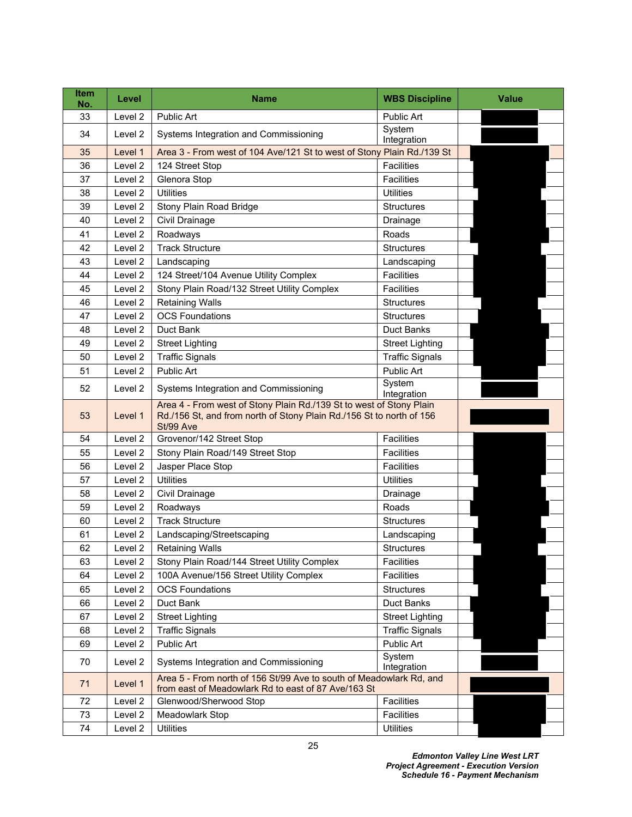| <b>Item</b><br>No. | Level              | <b>Name</b>                                                                                                                                              | <b>WBS Discipline</b>        | <b>Value</b> |
|--------------------|--------------------|----------------------------------------------------------------------------------------------------------------------------------------------------------|------------------------------|--------------|
| 33                 | Level 2            | <b>Public Art</b>                                                                                                                                        | Public Art                   |              |
| 34                 | Level 2            | Systems Integration and Commissioning                                                                                                                    | System<br>Integration        |              |
| 35                 | Level 1            | Area 3 - From west of 104 Ave/121 St to west of Stony Plain Rd./139 St                                                                                   |                              |              |
| 36                 | Level <sub>2</sub> | 124 Street Stop                                                                                                                                          | <b>Facilities</b>            |              |
| 37                 | Level 2            | Glenora Stop                                                                                                                                             | Facilities                   |              |
| 38                 | Level <sub>2</sub> | <b>Utilities</b>                                                                                                                                         | <b>Utilities</b>             |              |
| 39                 | Level 2            | Stony Plain Road Bridge                                                                                                                                  | <b>Structures</b>            |              |
| 40                 | Level 2            | Civil Drainage                                                                                                                                           | Drainage                     |              |
| 41                 | Level 2            | Roadways                                                                                                                                                 | Roads                        |              |
| 42                 | Level <sub>2</sub> | <b>Track Structure</b>                                                                                                                                   | <b>Structures</b>            |              |
| 43                 | Level <sub>2</sub> | Landscaping                                                                                                                                              | Landscaping                  |              |
| 44                 | Level 2            | 124 Street/104 Avenue Utility Complex                                                                                                                    | <b>Facilities</b>            |              |
| 45                 | Level 2            | Stony Plain Road/132 Street Utility Complex                                                                                                              | <b>Facilities</b>            |              |
| 46                 | Level 2            | <b>Retaining Walls</b>                                                                                                                                   | <b>Structures</b>            |              |
| 47                 | Level <sub>2</sub> | <b>OCS Foundations</b>                                                                                                                                   | <b>Structures</b>            |              |
| 48                 | Level <sub>2</sub> | Duct Bank                                                                                                                                                | <b>Duct Banks</b>            |              |
| 49                 | Level 2            | <b>Street Lighting</b>                                                                                                                                   | <b>Street Lighting</b>       |              |
| 50                 | Level 2            | <b>Traffic Signals</b>                                                                                                                                   | <b>Traffic Signals</b>       |              |
| 51                 | Level 2            | <b>Public Art</b>                                                                                                                                        | Public Art                   |              |
| 52                 | Level 2            | Systems Integration and Commissioning                                                                                                                    | System<br>Integration        |              |
| 53                 | Level 1            | Area 4 - From west of Stony Plain Rd./139 St to west of Stony Plain<br>Rd./156 St, and from north of Stony Plain Rd./156 St to north of 156<br>St/99 Ave |                              |              |
| 54                 | Level 2            | Grovenor/142 Street Stop                                                                                                                                 | Facilities                   |              |
| 55                 | Level 2            | Stony Plain Road/149 Street Stop                                                                                                                         | <b>Facilities</b>            |              |
| 56                 | Level 2            | Jasper Place Stop                                                                                                                                        | <b>Facilities</b>            |              |
| 57                 | Level 2            | <b>Utilities</b>                                                                                                                                         | <b>Utilities</b>             |              |
| 58                 | Level 2            | Civil Drainage                                                                                                                                           | Drainage                     |              |
| 59                 | Level 2            | Roadways                                                                                                                                                 | Roads                        |              |
| 60                 | Level 2            | <b>Track Structure</b>                                                                                                                                   | <b>Structures</b>            |              |
| 61                 | Level 2            | Landscaping/Streetscaping                                                                                                                                | Landscaping                  |              |
| 62                 | Level 2            | <b>Retaining Walls</b>                                                                                                                                   | <b>Structures</b>            |              |
| 63                 | Level 2            | Stony Plain Road/144 Street Utility Complex                                                                                                              | Facilities                   |              |
| 64                 | Level 2            | 100A Avenue/156 Street Utility Complex                                                                                                                   | Facilities                   |              |
| 65                 | Level 2            | <b>OCS Foundations</b>                                                                                                                                   | <b>Structures</b>            |              |
| 66                 | Level 2            | Duct Bank                                                                                                                                                | Duct Banks                   |              |
| 67                 | Level 2            | <b>Street Lighting</b>                                                                                                                                   | <b>Street Lighting</b>       |              |
| 68                 | Level 2            | <b>Traffic Signals</b>                                                                                                                                   | <b>Traffic Signals</b>       |              |
| 69                 | Level 2            | Public Art                                                                                                                                               | Public Art                   |              |
| 70                 | Level 2            | Systems Integration and Commissioning                                                                                                                    | <b>System</b><br>Integration |              |
| 71                 | Level 1            | Area 5 - From north of 156 St/99 Ave to south of Meadowlark Rd, and<br>from east of Meadowlark Rd to east of 87 Ave/163 St                               |                              |              |
| 72                 | Level 2            | Glenwood/Sherwood Stop                                                                                                                                   | Facilities                   |              |
| 73                 | Level 2            | Meadowlark Stop                                                                                                                                          | Facilities                   |              |
| $74\,$             | Level 2            | <b>Utilities</b>                                                                                                                                         | <b>Utilities</b>             |              |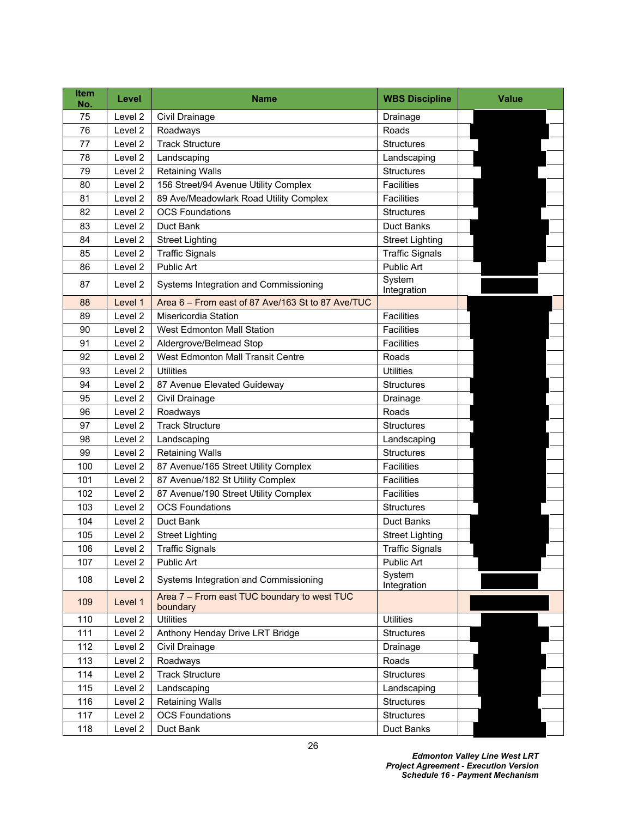| <b>Item</b><br>No. | Level              | Name                                                    | <b>WBS Discipline</b>  | Value |
|--------------------|--------------------|---------------------------------------------------------|------------------------|-------|
| 75                 | Level 2            | Civil Drainage                                          | Drainage               |       |
| 76                 | Level 2            | Roadways                                                | Roads                  |       |
| 77                 | Level <sub>2</sub> | <b>Track Structure</b>                                  | <b>Structures</b>      |       |
| 78                 | Level 2            | Landscaping                                             | Landscaping            |       |
| 79                 | Level 2            | <b>Retaining Walls</b>                                  | <b>Structures</b>      |       |
| 80                 | Level 2            | 156 Street/94 Avenue Utility Complex                    | <b>Facilities</b>      |       |
| 81                 | Level 2            | 89 Ave/Meadowlark Road Utility Complex                  | <b>Facilities</b>      |       |
| 82                 | Level <sub>2</sub> | <b>OCS Foundations</b>                                  | <b>Structures</b>      |       |
| 83                 | Level 2            | Duct Bank                                               | <b>Duct Banks</b>      |       |
| 84                 | Level <sub>2</sub> | <b>Street Lighting</b>                                  | <b>Street Lighting</b> |       |
| 85                 | Level 2            | <b>Traffic Signals</b>                                  | <b>Traffic Signals</b> |       |
| 86                 | Level 2            | Public Art                                              | <b>Public Art</b>      |       |
| 87                 | Level 2            | Systems Integration and Commissioning                   | System<br>Integration  |       |
| 88                 | Level 1            | Area 6 - From east of 87 Ave/163 St to 87 Ave/TUC       |                        |       |
| 89                 | Level <sub>2</sub> | Misericordia Station                                    | <b>Facilities</b>      |       |
| 90                 | Level <sub>2</sub> | <b>West Edmonton Mall Station</b>                       | <b>Facilities</b>      |       |
| 91                 | Level 2            | Aldergrove/Belmead Stop                                 | <b>Facilities</b>      |       |
| 92                 | Level 2            | West Edmonton Mall Transit Centre                       | Roads                  |       |
| 93                 | Level 2            | <b>Utilities</b>                                        | <b>Utilities</b>       |       |
| 94                 | Level 2            | 87 Avenue Elevated Guideway                             | <b>Structures</b>      |       |
| 95                 | Level 2            | Civil Drainage                                          | Drainage               |       |
| 96                 | Level 2            | Roadways                                                | Roads                  |       |
| 97                 | Level <sub>2</sub> | <b>Track Structure</b>                                  | <b>Structures</b>      |       |
| 98                 | Level 2            | Landscaping                                             | Landscaping            |       |
| 99                 | Level 2            | <b>Retaining Walls</b>                                  | <b>Structures</b>      |       |
| 100                | Level 2            | 87 Avenue/165 Street Utility Complex                    | <b>Facilities</b>      |       |
| 101                | Level 2            | 87 Avenue/182 St Utility Complex                        | <b>Facilities</b>      |       |
| 102                | Level <sub>2</sub> | 87 Avenue/190 Street Utility Complex                    | <b>Facilities</b>      |       |
| 103                | Level <sub>2</sub> | <b>OCS Foundations</b>                                  | <b>Structures</b>      |       |
| 104                | Level 2            | Duct Bank                                               | <b>Duct Banks</b>      |       |
| 105                | Level 2            | <b>Street Lighting</b>                                  | <b>Street Lighting</b> |       |
| 106                | Level 2            | <b>Traffic Signals</b>                                  | <b>Traffic Signals</b> |       |
| 107                | Level 2            | Public Art                                              | Public Art             |       |
| 108                | Level 2            | Systems Integration and Commissioning                   | System<br>Integration  |       |
| 109                | Level 1            | Area 7 - From east TUC boundary to west TUC<br>boundary |                        |       |
| 110                | Level 2            | <b>Utilities</b>                                        | <b>Utilities</b>       |       |
| 111                | Level 2            | Anthony Henday Drive LRT Bridge                         | <b>Structures</b>      |       |
| 112                | Level 2            | Civil Drainage                                          | Drainage               |       |
| 113                | Level 2            | Roadways                                                | Roads                  |       |
| 114                | Level 2            | <b>Track Structure</b>                                  | <b>Structures</b>      |       |
| 115                | Level 2            | Landscaping                                             | Landscaping            |       |
| 116                | Level 2            | <b>Retaining Walls</b>                                  | <b>Structures</b>      |       |
| 117                | Level 2            | <b>OCS Foundations</b>                                  | <b>Structures</b>      |       |
| 118                | Level 2            | Duct Bank                                               | Duct Banks             |       |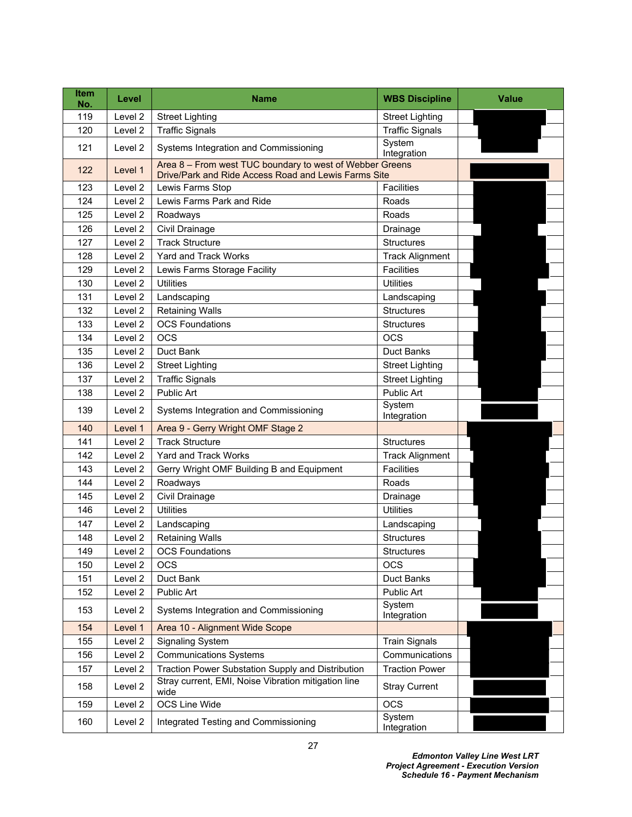| <b>Item</b><br>No. | Level              | <b>Name</b>                                                                                                      | <b>WBS Discipline</b>  | <b>Value</b> |
|--------------------|--------------------|------------------------------------------------------------------------------------------------------------------|------------------------|--------------|
| 119                | Level 2            | <b>Street Lighting</b>                                                                                           | <b>Street Lighting</b> |              |
| 120                | Level <sub>2</sub> | <b>Traffic Signals</b>                                                                                           | <b>Traffic Signals</b> |              |
| 121                | Level 2            | Systems Integration and Commissioning                                                                            | System<br>Integration  |              |
| 122                | Level 1            | Area 8 - From west TUC boundary to west of Webber Greens<br>Drive/Park and Ride Access Road and Lewis Farms Site |                        |              |
| 123                | Level 2            | Lewis Farms Stop                                                                                                 | <b>Facilities</b>      |              |
| 124                | Level 2            | Lewis Farms Park and Ride                                                                                        | Roads                  |              |
| 125                | Level 2            | Roadways                                                                                                         | Roads                  |              |
| 126                | Level 2            | Civil Drainage                                                                                                   | Drainage               |              |
| 127                | Level 2            | <b>Track Structure</b>                                                                                           | <b>Structures</b>      |              |
| 128                | Level 2            | Yard and Track Works                                                                                             | <b>Track Alignment</b> |              |
| 129                | Level 2            | Lewis Farms Storage Facility                                                                                     | <b>Facilities</b>      |              |
| 130                | Level 2            | <b>Utilities</b>                                                                                                 | <b>Utilities</b>       |              |
| 131                | Level 2            | Landscaping                                                                                                      | Landscaping            |              |
| 132                | Level 2            | <b>Retaining Walls</b>                                                                                           | <b>Structures</b>      |              |
| 133                | Level 2            | <b>OCS Foundations</b>                                                                                           | <b>Structures</b>      |              |
| 134                | Level 2            | <b>OCS</b>                                                                                                       | <b>OCS</b>             |              |
| 135                | Level 2            | Duct Bank                                                                                                        | Duct Banks             |              |
| 136                | Level 2            | <b>Street Lighting</b>                                                                                           | <b>Street Lighting</b> |              |
| 137                | Level 2            | <b>Traffic Signals</b>                                                                                           | <b>Street Lighting</b> |              |
| 138                | Level 2            | Public Art                                                                                                       | Public Art             |              |
| 139                | Level 2            | Systems Integration and Commissioning                                                                            | System<br>Integration  |              |
| 140                | Level 1            | Area 9 - Gerry Wright OMF Stage 2                                                                                |                        |              |
| 141                | Level 2            | <b>Track Structure</b>                                                                                           | <b>Structures</b>      |              |
| 142                | Level 2            | Yard and Track Works                                                                                             | <b>Track Alignment</b> |              |
| 143                | Level 2            | Gerry Wright OMF Building B and Equipment                                                                        | <b>Facilities</b>      |              |
| 144                | Level 2            | Roadways                                                                                                         | Roads                  |              |
| 145                | Level 2            | Civil Drainage                                                                                                   | Drainage               |              |
| 146                | Level 2            | <b>Utilities</b>                                                                                                 | <b>Utilities</b>       |              |
| 147                | Level 2            | Landscaping                                                                                                      | Landscaping            |              |
| 148                | Level 2            | <b>Retaining Walls</b>                                                                                           | <b>Structures</b>      |              |
| 149                | Level 2            | <b>OCS Foundations</b>                                                                                           | Structures             |              |
| 150                | Level 2            | <b>OCS</b>                                                                                                       | <b>OCS</b>             |              |
| 151                | Level 2            | Duct Bank                                                                                                        | Duct Banks             |              |
| 152                | Level 2            | Public Art                                                                                                       | Public Art             |              |
| 153                | Level 2            | Systems Integration and Commissioning                                                                            | System<br>Integration  |              |
| 154                | Level 1            | Area 10 - Alignment Wide Scope                                                                                   |                        |              |
| 155                | Level 2            | <b>Signaling System</b>                                                                                          | <b>Train Signals</b>   |              |
| 156                | Level 2            | <b>Communications Systems</b>                                                                                    | Communications         |              |
| 157                | Level 2            | Traction Power Substation Supply and Distribution                                                                | <b>Traction Power</b>  |              |
| 158                | Level 2            | Stray current, EMI, Noise Vibration mitigation line<br>wide                                                      | <b>Stray Current</b>   |              |
| 159                | Level 2            | OCS Line Wide                                                                                                    | <b>OCS</b>             |              |
| 160                | Level 2            | Integrated Testing and Commissioning                                                                             | System<br>Integration  |              |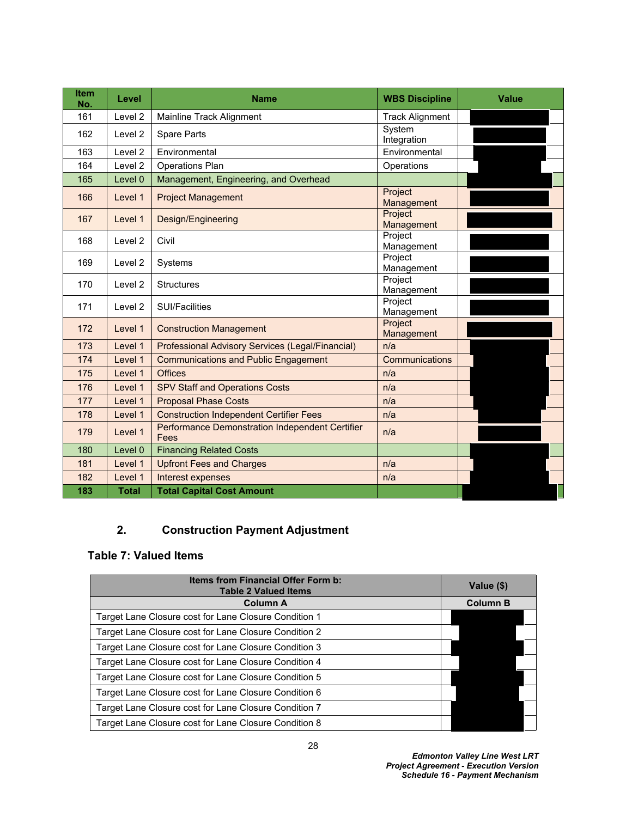| <b>Item</b><br>No. | Level        | <b>Name</b>                                                    | <b>WBS Discipline</b>  | <b>Value</b> |
|--------------------|--------------|----------------------------------------------------------------|------------------------|--------------|
| 161                | Level 2      | Mainline Track Alignment                                       | <b>Track Alignment</b> |              |
| 162                | Level 2      | <b>Spare Parts</b>                                             | System<br>Integration  |              |
| 163                | Level 2      | Environmental                                                  | Environmental          |              |
| 164                | Level 2      | <b>Operations Plan</b>                                         | Operations             |              |
| 165                | Level 0      | Management, Engineering, and Overhead                          |                        |              |
| 166                | Level 1      | <b>Project Management</b>                                      | Project<br>Management  |              |
| 167                | Level 1      | Design/Engineering                                             | Project<br>Management  |              |
| 168                | Level 2      | Civil                                                          | Project<br>Management  |              |
| 169                | Level 2      | Systems                                                        | Project<br>Management  |              |
| 170                | Level 2      | <b>Structures</b>                                              | Project<br>Management  |              |
| 171                | Level 2      | <b>SUI/Facilities</b>                                          | Project<br>Management  |              |
| 172                | Level 1      | <b>Construction Management</b>                                 | Project<br>Management  |              |
| 173                | Level 1      | Professional Advisory Services (Legal/Financial)               | n/a                    |              |
| 174                | Level 1      | <b>Communications and Public Engagement</b>                    | Communications         |              |
| 175                | Level 1      | Offices                                                        | n/a                    |              |
| 176                | Level 1      | <b>SPV Staff and Operations Costs</b>                          | n/a                    |              |
| 177                | Level 1      | <b>Proposal Phase Costs</b>                                    | n/a                    |              |
| 178                | Level 1      | <b>Construction Independent Certifier Fees</b>                 | n/a                    |              |
| 179                | Level 1      | <b>Performance Demonstration Independent Certifier</b><br>Fees | n/a                    |              |
| 180                | Level 0      | <b>Financing Related Costs</b>                                 |                        |              |
| 181                | Level 1      | <b>Upfront Fees and Charges</b>                                | n/a                    |              |
| 182                | Level 1      | Interest expenses                                              | n/a                    |              |
| 183                | <b>Total</b> | <b>Total Capital Cost Amount</b>                               |                        |              |

# **2. Construction Payment Adjustment**

## <span id="page-29-0"></span>**Table 7: Valued Items**

| <b>Items from Financial Offer Form b:</b><br><b>Table 2 Valued Items</b> | Value (\$)      |
|--------------------------------------------------------------------------|-----------------|
| <b>Column A</b>                                                          | <b>Column B</b> |
| Target Lane Closure cost for Lane Closure Condition 1                    |                 |
| Target Lane Closure cost for Lane Closure Condition 2                    |                 |
| Target Lane Closure cost for Lane Closure Condition 3                    |                 |
| Target Lane Closure cost for Lane Closure Condition 4                    |                 |
| Target Lane Closure cost for Lane Closure Condition 5                    |                 |
| Target Lane Closure cost for Lane Closure Condition 6                    |                 |
| Target Lane Closure cost for Lane Closure Condition 7                    |                 |
| Target Lane Closure cost for Lane Closure Condition 8                    |                 |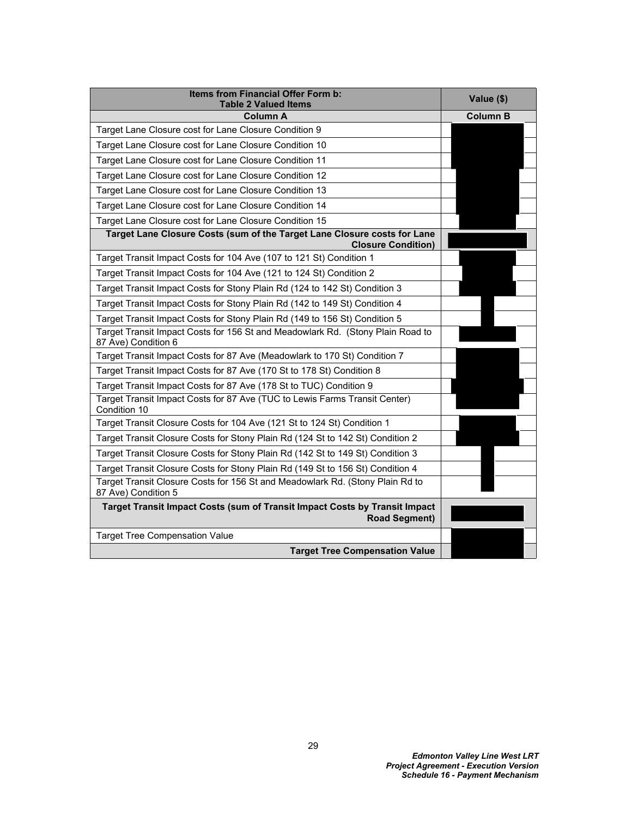| Items from Financial Offer Form b:<br><b>Table 2 Valued Items</b>                                                                                            | Value (\$)      |
|--------------------------------------------------------------------------------------------------------------------------------------------------------------|-----------------|
| <b>Column A</b>                                                                                                                                              | <b>Column B</b> |
| Target Lane Closure cost for Lane Closure Condition 9                                                                                                        |                 |
| Target Lane Closure cost for Lane Closure Condition 10                                                                                                       |                 |
| Target Lane Closure cost for Lane Closure Condition 11                                                                                                       |                 |
| Target Lane Closure cost for Lane Closure Condition 12                                                                                                       |                 |
| Target Lane Closure cost for Lane Closure Condition 13                                                                                                       |                 |
| Target Lane Closure cost for Lane Closure Condition 14                                                                                                       |                 |
| Target Lane Closure cost for Lane Closure Condition 15                                                                                                       |                 |
| Target Lane Closure Costs (sum of the Target Lane Closure costs for Lane<br><b>Closure Condition)</b>                                                        |                 |
| Target Transit Impact Costs for 104 Ave (107 to 121 St) Condition 1                                                                                          |                 |
| Target Transit Impact Costs for 104 Ave (121 to 124 St) Condition 2                                                                                          |                 |
| Target Transit Impact Costs for Stony Plain Rd (124 to 142 St) Condition 3                                                                                   |                 |
| Target Transit Impact Costs for Stony Plain Rd (142 to 149 St) Condition 4                                                                                   |                 |
|                                                                                                                                                              |                 |
| Target Transit Impact Costs for Stony Plain Rd (149 to 156 St) Condition 5<br>Target Transit Impact Costs for 156 St and Meadowlark Rd. (Stony Plain Road to |                 |
| 87 Ave) Condition 6                                                                                                                                          |                 |
| Target Transit Impact Costs for 87 Ave (Meadowlark to 170 St) Condition 7                                                                                    |                 |
| Target Transit Impact Costs for 87 Ave (170 St to 178 St) Condition 8                                                                                        |                 |
| Target Transit Impact Costs for 87 Ave (178 St to TUC) Condition 9                                                                                           |                 |
| Target Transit Impact Costs for 87 Ave (TUC to Lewis Farms Transit Center)<br>Condition 10                                                                   |                 |
| Target Transit Closure Costs for 104 Ave (121 St to 124 St) Condition 1                                                                                      |                 |
| Target Transit Closure Costs for Stony Plain Rd (124 St to 142 St) Condition 2                                                                               |                 |
| Target Transit Closure Costs for Stony Plain Rd (142 St to 149 St) Condition 3                                                                               |                 |
| Target Transit Closure Costs for Stony Plain Rd (149 St to 156 St) Condition 4                                                                               |                 |
| Target Transit Closure Costs for 156 St and Meadowlark Rd. (Stony Plain Rd to<br>87 Ave) Condition 5                                                         |                 |
| Target Transit Impact Costs (sum of Transit Impact Costs by Transit Impact<br><b>Road Segment)</b>                                                           |                 |
| <b>Target Tree Compensation Value</b>                                                                                                                        |                 |
| <b>Target Tree Compensation Value</b>                                                                                                                        |                 |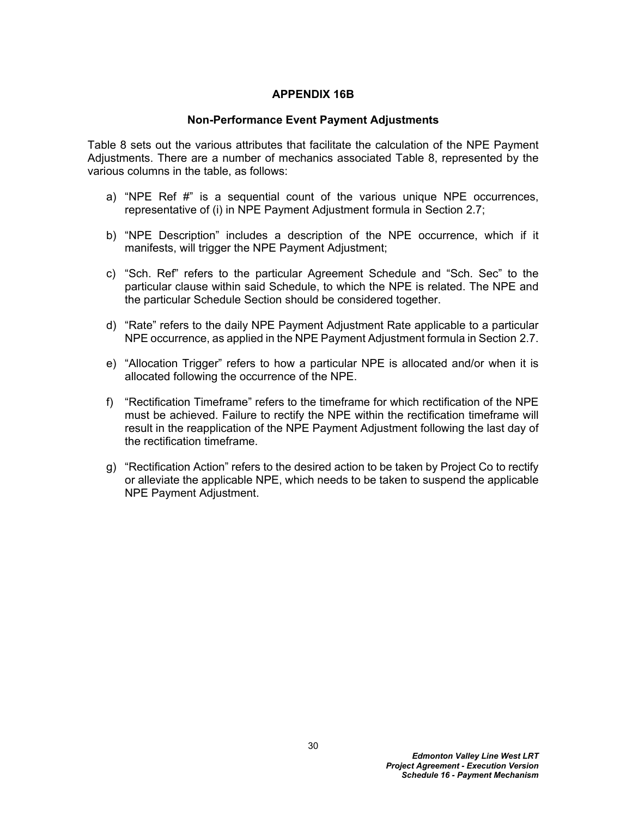#### **APPENDIX 16B**

#### **Non-Performance Event Payment Adjustments**

[Table 8](#page-32-0) sets out the various attributes that facilitate the calculation of the NPE Payment Adjustments. There are a number of mechanics associated Table 8, represented by the various columns in the table, as follows:

- a) "NPE Ref #" is a sequential count of the various unique NPE occurrences, representative of (i) in NPE Payment Adjustment formula in Section 2.7;
- b) "NPE Description" includes a description of the NPE occurrence, which if it manifests, will trigger the NPE Payment Adjustment;
- c) "Sch. Ref" refers to the particular Agreement Schedule and "Sch. Sec" to the particular clause within said Schedule, to which the NPE is related. The NPE and the particular Schedule Section should be considered together.
- d) "Rate" refers to the daily NPE Payment Adjustment Rate applicable to a particular NPE occurrence, as applied in the NPE Payment Adjustment formula in Section 2.7.
- e) "Allocation Trigger" refers to how a particular NPE is allocated and/or when it is allocated following the occurrence of the NPE.
- f) "Rectification Timeframe" refers to the timeframe for which rectification of the NPE must be achieved. Failure to rectify the NPE within the rectification timeframe will result in the reapplication of the NPE Payment Adjustment following the last day of the rectification timeframe.
- g) "Rectification Action" refers to the desired action to be taken by Project Co to rectify or alleviate the applicable NPE, which needs to be taken to suspend the applicable NPE Payment Adjustment.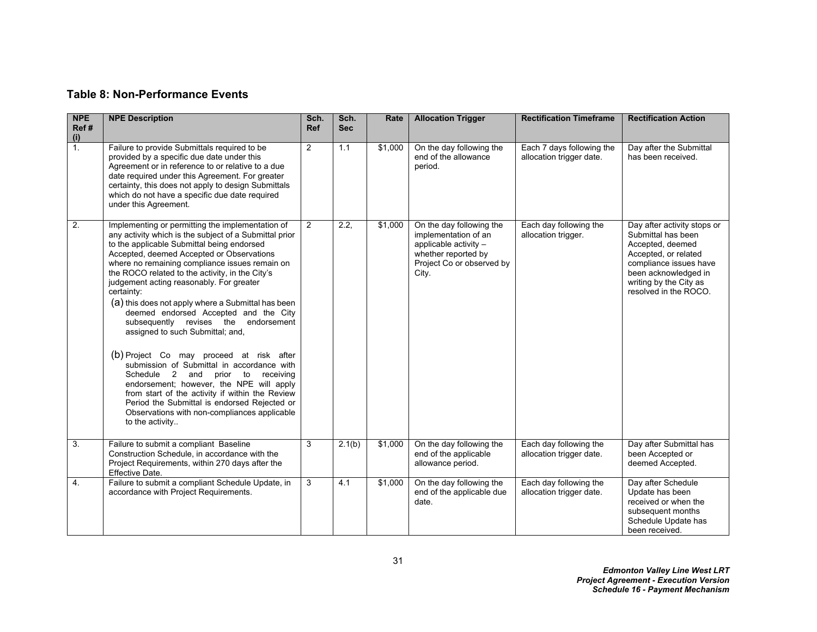# **Table 8: Non-Performance Events**

<span id="page-32-0"></span>

| <b>NPE</b><br>Ref#<br>(i) | <b>NPE Description</b>                                                                                                                                                                                                                                                                                                                                                                                                                                                                                                                                                                                                                                                                                                                                                                                                                                                                                    | Sch.<br><b>Ref</b> | Sch.<br><b>Sec</b> | Rate    | <b>Allocation Trigger</b>                                                                                                              | <b>Rectification Timeframe</b>                        | <b>Rectification Action</b>                                                                                                                                                                        |
|---------------------------|-----------------------------------------------------------------------------------------------------------------------------------------------------------------------------------------------------------------------------------------------------------------------------------------------------------------------------------------------------------------------------------------------------------------------------------------------------------------------------------------------------------------------------------------------------------------------------------------------------------------------------------------------------------------------------------------------------------------------------------------------------------------------------------------------------------------------------------------------------------------------------------------------------------|--------------------|--------------------|---------|----------------------------------------------------------------------------------------------------------------------------------------|-------------------------------------------------------|----------------------------------------------------------------------------------------------------------------------------------------------------------------------------------------------------|
| 1.                        | Failure to provide Submittals required to be<br>provided by a specific due date under this<br>Agreement or in reference to or relative to a due<br>date required under this Agreement. For greater<br>certainty, this does not apply to design Submittals<br>which do not have a specific due date required<br>under this Agreement.                                                                                                                                                                                                                                                                                                                                                                                                                                                                                                                                                                      | $\overline{c}$     | 1.1                | \$1,000 | On the day following the<br>end of the allowance<br>period.                                                                            | Each 7 days following the<br>allocation trigger date. | Day after the Submittal<br>has been received.                                                                                                                                                      |
| 2.                        | Implementing or permitting the implementation of<br>any activity which is the subject of a Submittal prior<br>to the applicable Submittal being endorsed<br>Accepted, deemed Accepted or Observations<br>where no remaining compliance issues remain on<br>the ROCO related to the activity, in the City's<br>judgement acting reasonably. For greater<br>certainty:<br>(a) this does not apply where a Submittal has been<br>deemed endorsed Accepted and the City<br>subsequently revises the endorsement<br>assigned to such Submittal; and,<br>(b) Project Co may proceed at risk after<br>submission of Submittal in accordance with<br>Schedule 2 and<br>prior<br>to<br>receiving<br>endorsement; however, the NPE will apply<br>from start of the activity if within the Review<br>Period the Submittal is endorsed Rejected or<br>Observations with non-compliances applicable<br>to the activity | $\overline{2}$     | 2.2,               | \$1,000 | On the day following the<br>implementation of an<br>applicable activity -<br>whether reported by<br>Project Co or observed by<br>City. | Each day following the<br>allocation trigger.         | Day after activity stops or<br>Submittal has been<br>Accepted, deemed<br>Accepted, or related<br>compliance issues have<br>been acknowledged in<br>writing by the City as<br>resolved in the ROCO. |
| 3.                        | Failure to submit a compliant Baseline<br>Construction Schedule, in accordance with the<br>Project Requirements, within 270 days after the<br>Effective Date.                                                                                                                                                                                                                                                                                                                                                                                                                                                                                                                                                                                                                                                                                                                                             | 3                  | 2.1(b)             | \$1,000 | On the day following the<br>end of the applicable<br>allowance period.                                                                 | Each day following the<br>allocation trigger date.    | Day after Submittal has<br>been Accepted or<br>deemed Accepted.                                                                                                                                    |
| 4.                        | Failure to submit a compliant Schedule Update, in<br>accordance with Project Requirements.                                                                                                                                                                                                                                                                                                                                                                                                                                                                                                                                                                                                                                                                                                                                                                                                                | 3                  | 4.1                | \$1,000 | On the day following the<br>end of the applicable due<br>date.                                                                         | Each day following the<br>allocation trigger date.    | Day after Schedule<br>Update has been<br>received or when the<br>subsequent months<br>Schedule Update has<br>been received.                                                                        |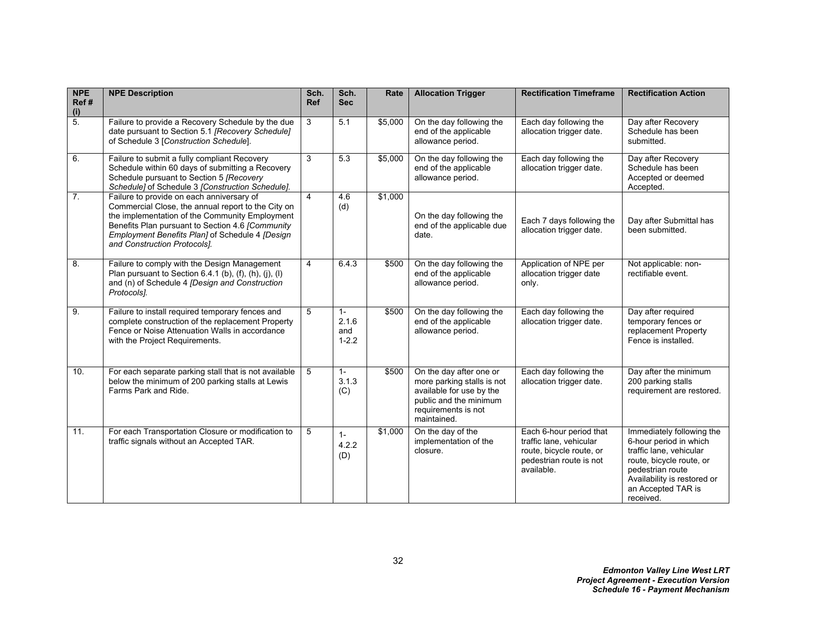| <b>NPE</b><br>Ref#<br>(i) | <b>NPE Description</b>                                                                                                                                                                                                                                                                   | Sch.<br><b>Ref</b>      | Sch.<br><b>Sec</b>                 | Rate    | <b>Allocation Trigger</b>                                                                                                                         | <b>Rectification Timeframe</b>                                                                                          | <b>Rectification Action</b>                                                                                                                                                                      |
|---------------------------|------------------------------------------------------------------------------------------------------------------------------------------------------------------------------------------------------------------------------------------------------------------------------------------|-------------------------|------------------------------------|---------|---------------------------------------------------------------------------------------------------------------------------------------------------|-------------------------------------------------------------------------------------------------------------------------|--------------------------------------------------------------------------------------------------------------------------------------------------------------------------------------------------|
| $\overline{5}$ .          | Failure to provide a Recovery Schedule by the due<br>date pursuant to Section 5.1 [Recovery Schedule]<br>of Schedule 3 [Construction Schedule].                                                                                                                                          | 3                       | 5.1                                | \$5,000 | On the day following the<br>end of the applicable<br>allowance period.                                                                            | Each day following the<br>allocation trigger date.                                                                      | Day after Recovery<br>Schedule has been<br>submitted.                                                                                                                                            |
| 6.                        | Failure to submit a fully compliant Recovery<br>Schedule within 60 days of submitting a Recovery<br>Schedule pursuant to Section 5 [Recovery<br>Schedule] of Schedule 3 [Construction Schedule].                                                                                         | $\overline{3}$          | 5.3                                | \$5,000 | On the day following the<br>end of the applicable<br>allowance period.                                                                            | Each day following the<br>allocation trigger date.                                                                      | Day after Recovery<br>Schedule has been<br>Accepted or deemed<br>Accepted.                                                                                                                       |
| 7 <sub>1</sub>            | Failure to provide on each anniversary of<br>Commercial Close, the annual report to the City on<br>the implementation of the Community Employment<br>Benefits Plan pursuant to Section 4.6 [Community<br>Employment Benefits Plan] of Schedule 4 [Design<br>and Construction Protocols]. | $\overline{\mathbf{A}}$ | 4.6<br>(d)                         | \$1,000 | On the day following the<br>end of the applicable due<br>date.                                                                                    | Each 7 days following the<br>allocation trigger date.                                                                   | Day after Submittal has<br>been submitted.                                                                                                                                                       |
| 8.                        | Failure to comply with the Design Management<br>Plan pursuant to Section 6.4.1 (b), (f), (h), (j), (l)<br>and (n) of Schedule 4 [Design and Construction<br>Protocols].                                                                                                                  | 4                       | 6.4.3                              | \$500   | On the day following the<br>end of the applicable<br>allowance period.                                                                            | Application of NPE per<br>allocation trigger date<br>only.                                                              | Not applicable: non-<br>rectifiable event.                                                                                                                                                       |
| 9.                        | Failure to install required temporary fences and<br>complete construction of the replacement Property<br>Fence or Noise Attenuation Walls in accordance<br>with the Project Requirements.                                                                                                | 5                       | $1 -$<br>2.1.6<br>and<br>$1 - 2.2$ | \$500   | On the day following the<br>end of the applicable<br>allowance period.                                                                            | Each day following the<br>allocation trigger date.                                                                      | Day after required<br>temporary fences or<br>replacement Property<br>Fence is installed.                                                                                                         |
| 10.                       | For each separate parking stall that is not available<br>below the minimum of 200 parking stalls at Lewis<br>Farms Park and Ride.                                                                                                                                                        | 5                       | $1 -$<br>3.1.3<br>(C)              | \$500   | On the day after one or<br>more parking stalls is not<br>available for use by the<br>public and the minimum<br>requirements is not<br>maintained. | Each day following the<br>allocation trigger date.                                                                      | Day after the minimum<br>200 parking stalls<br>requirement are restored.                                                                                                                         |
| 11.                       | For each Transportation Closure or modification to<br>traffic signals without an Accepted TAR.                                                                                                                                                                                           | 5                       | $1 -$<br>4.2.2<br>(D)              | \$1,000 | On the day of the<br>implementation of the<br>closure.                                                                                            | Each 6-hour period that<br>traffic lane, vehicular<br>route, bicycle route, or<br>pedestrian route is not<br>available. | Immediately following the<br>6-hour period in which<br>traffic lane, vehicular<br>route, bicycle route, or<br>pedestrian route<br>Availability is restored or<br>an Accepted TAR is<br>received. |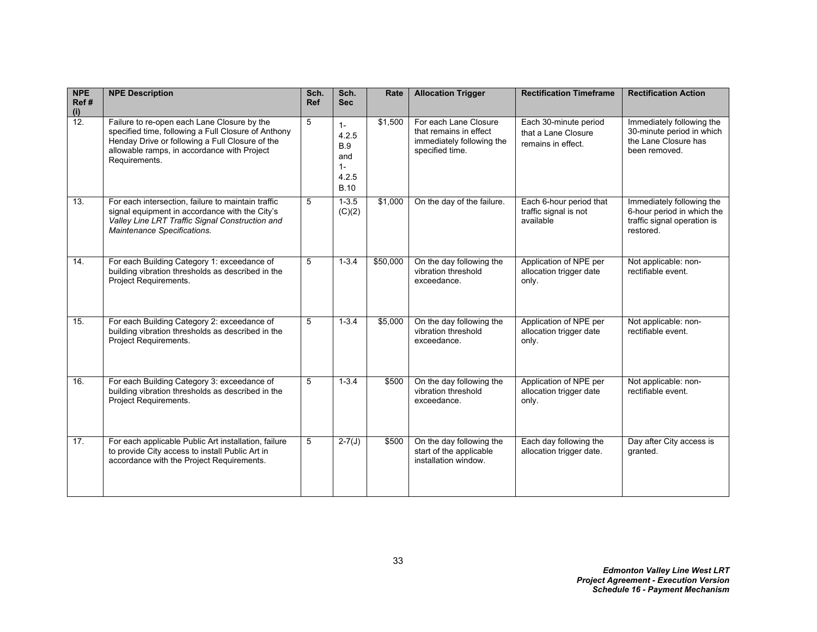| <b>NPE</b><br>Ref#<br>$\frac{(i)}{12}$ . | <b>NPE Description</b>                                                                                                                                                                                                | Sch.<br><b>Ref</b> | Sch.<br><b>Sec</b>                                                   | Rate     | <b>Allocation Trigger</b>                                                                       | <b>Rectification Timeframe</b>                                     | <b>Rectification Action</b>                                                                         |
|------------------------------------------|-----------------------------------------------------------------------------------------------------------------------------------------------------------------------------------------------------------------------|--------------------|----------------------------------------------------------------------|----------|-------------------------------------------------------------------------------------------------|--------------------------------------------------------------------|-----------------------------------------------------------------------------------------------------|
|                                          | Failure to re-open each Lane Closure by the<br>specified time, following a Full Closure of Anthony<br>Henday Drive or following a Full Closure of the<br>allowable ramps, in accordance with Project<br>Requirements. | 5                  | $1 -$<br>4.2.5<br><b>B.9</b><br>and<br>$1 -$<br>4.2.5<br><b>B.10</b> | \$1,500  | For each Lane Closure<br>that remains in effect<br>immediately following the<br>specified time. | Each 30-minute period<br>that a Lane Closure<br>remains in effect. | Immediately following the<br>30-minute period in which<br>the Lane Closure has<br>been removed.     |
| 13.                                      | For each intersection, failure to maintain traffic<br>signal equipment in accordance with the City's<br>Valley Line LRT Traffic Signal Construction and<br>Maintenance Specifications.                                | 5                  | $1 - 3.5$<br>(C)(2)                                                  | \$1,000  | On the day of the failure.                                                                      | Each 6-hour period that<br>traffic signal is not<br>available      | Immediately following the<br>6-hour period in which the<br>traffic signal operation is<br>restored. |
| 14.                                      | For each Building Category 1: exceedance of<br>building vibration thresholds as described in the<br><b>Project Requirements.</b>                                                                                      | 5                  | $1 - 3.4$                                                            | \$50,000 | On the day following the<br>vibration threshold<br>exceedance.                                  | Application of NPE per<br>allocation trigger date<br>only.         | Not applicable: non-<br>rectifiable event.                                                          |
| 15.                                      | For each Building Category 2: exceedance of<br>building vibration thresholds as described in the<br>Project Requirements.                                                                                             | 5                  | $1 - 3.4$                                                            | \$5,000  | On the day following the<br>vibration threshold<br>exceedance.                                  | Application of NPE per<br>allocation trigger date<br>only.         | Not applicable: non-<br>rectifiable event.                                                          |
| 16.                                      | For each Building Category 3: exceedance of<br>building vibration thresholds as described in the<br><b>Project Requirements.</b>                                                                                      | 5                  | $1 - 3.4$                                                            | \$500    | On the day following the<br>vibration threshold<br>exceedance.                                  | Application of NPE per<br>allocation trigger date<br>only.         | Not applicable: non-<br>rectifiable event.                                                          |
| 17.                                      | For each applicable Public Art installation, failure<br>to provide City access to install Public Art in<br>accordance with the Project Requirements.                                                                  | 5                  | $2 - 7(J)$                                                           | \$500    | On the day following the<br>start of the applicable<br>installation window.                     | Each day following the<br>allocation trigger date.                 | Day after City access is<br>granted.                                                                |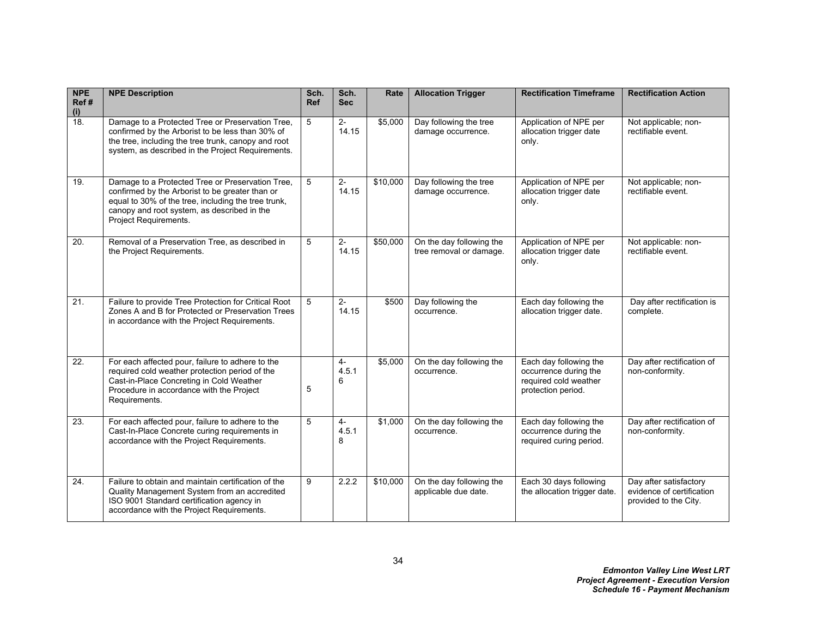| <b>NPE</b><br>Ref#<br>(i) | <b>NPE Description</b>                                                                                                                                                                                                             | Sch.<br><b>Ref</b> | Sch.<br><b>Sec</b> | Rate     | <b>Allocation Trigger</b>                           | <b>Rectification Timeframe</b>                                                                 | <b>Rectification Action</b>                                                  |
|---------------------------|------------------------------------------------------------------------------------------------------------------------------------------------------------------------------------------------------------------------------------|--------------------|--------------------|----------|-----------------------------------------------------|------------------------------------------------------------------------------------------------|------------------------------------------------------------------------------|
| $\overline{18}$           | Damage to a Protected Tree or Preservation Tree,<br>confirmed by the Arborist to be less than 30% of<br>the tree, including the tree trunk, canopy and root<br>system, as described in the Project Requirements.                   | 5                  | $2-$<br>14.15      | \$5,000  | Day following the tree<br>damage occurrence.        | Application of NPE per<br>allocation trigger date<br>only.                                     | Not applicable; non-<br>rectifiable event.                                   |
| 19.                       | Damage to a Protected Tree or Preservation Tree,<br>confirmed by the Arborist to be greater than or<br>equal to 30% of the tree, including the tree trunk,<br>canopy and root system, as described in the<br>Project Requirements. | 5                  | $2 -$<br>14.15     | \$10,000 | Day following the tree<br>damage occurrence.        | Application of NPE per<br>allocation trigger date<br>only.                                     | Not applicable; non-<br>rectifiable event.                                   |
| 20.                       | Removal of a Preservation Tree, as described in<br>the Project Requirements.                                                                                                                                                       | 5                  | $2 -$<br>14.15     | \$50,000 | On the day following the<br>tree removal or damage. | Application of NPE per<br>allocation trigger date<br>only.                                     | Not applicable: non-<br>rectifiable event.                                   |
| 21.                       | Failure to provide Tree Protection for Critical Root<br>Zones A and B for Protected or Preservation Trees<br>in accordance with the Project Requirements.                                                                          | 5                  | $2-$<br>14.15      | \$500    | Day following the<br>occurrence.                    | Each day following the<br>allocation trigger date.                                             | Day after rectification is<br>complete.                                      |
| 22.                       | For each affected pour, failure to adhere to the<br>required cold weather protection period of the<br>Cast-in-Place Concreting in Cold Weather<br>Procedure in accordance with the Project<br>Requirements.                        | 5                  | $4-$<br>4.5.1<br>6 | \$5,000  | On the day following the<br>occurrence.             | Each day following the<br>occurrence during the<br>required cold weather<br>protection period. | Day after rectification of<br>non-conformity.                                |
| 23.                       | For each affected pour, failure to adhere to the<br>Cast-In-Place Concrete curing requirements in<br>accordance with the Project Requirements.                                                                                     | 5                  | $4-$<br>4.5.1<br>8 | \$1,000  | On the day following the<br>occurrence.             | Each day following the<br>occurrence during the<br>required curing period.                     | Day after rectification of<br>non-conformity.                                |
| 24.                       | Failure to obtain and maintain certification of the<br>Quality Management System from an accredited<br>ISO 9001 Standard certification agency in<br>accordance with the Project Requirements.                                      | 9                  | 2.2.2              | \$10,000 | On the day following the<br>applicable due date.    | Each 30 days following<br>the allocation trigger date.                                         | Day after satisfactory<br>evidence of certification<br>provided to the City. |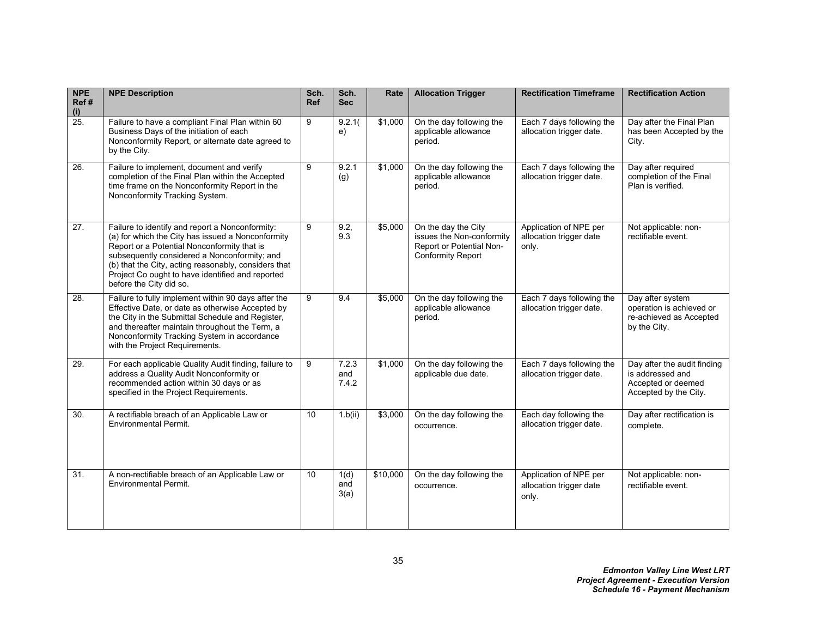| <b>NPE</b><br>Ref#<br>(i) | <b>NPE Description</b>                                                                                                                                                                                                                                                                                                                     | Sch.<br><b>Ref</b> | Sch.<br><b>Sec</b>    | Rate            | <b>Allocation Trigger</b>                                                                                | <b>Rectification Timeframe</b>                             | <b>Rectification Action</b>                                                                    |
|---------------------------|--------------------------------------------------------------------------------------------------------------------------------------------------------------------------------------------------------------------------------------------------------------------------------------------------------------------------------------------|--------------------|-----------------------|-----------------|----------------------------------------------------------------------------------------------------------|------------------------------------------------------------|------------------------------------------------------------------------------------------------|
| 25.                       | Failure to have a compliant Final Plan within 60<br>Business Days of the initiation of each<br>Nonconformity Report, or alternate date agreed to<br>by the City.                                                                                                                                                                           | 9                  | 9.2.1(<br>e)          | \$1,000         | On the day following the<br>applicable allowance<br>period.                                              | Each 7 days following the<br>allocation trigger date.      | Day after the Final Plan<br>has been Accepted by the<br>City.                                  |
| 26.                       | Failure to implement, document and verify<br>completion of the Final Plan within the Accepted<br>time frame on the Nonconformity Report in the<br>Nonconformity Tracking System.                                                                                                                                                           | 9                  | 9.2.1<br>(g)          | \$1,000         | On the day following the<br>applicable allowance<br>period.                                              | Each 7 days following the<br>allocation trigger date.      | Day after required<br>completion of the Final<br>Plan is verified.                             |
| 27.                       | Failure to identify and report a Nonconformity:<br>(a) for which the City has issued a Nonconformity<br>Report or a Potential Nonconformity that is<br>subsequently considered a Nonconformity; and<br>(b) that the City, acting reasonably, considers that<br>Project Co ought to have identified and reported<br>before the City did so. | $\overline{9}$     | 9.2,<br>9.3           | \$5,000         | On the day the City<br>issues the Non-conformity<br>Report or Potential Non-<br><b>Conformity Report</b> | Application of NPE per<br>allocation trigger date<br>only. | Not applicable: non-<br>rectifiable event.                                                     |
| 28.                       | Failure to fully implement within 90 days after the<br>Effective Date, or date as otherwise Accepted by<br>the City in the Submittal Schedule and Register,<br>and thereafter maintain throughout the Term, a<br>Nonconformity Tracking System in accordance<br>with the Project Requirements.                                             | $\overline{9}$     | 9.4                   | \$5,000         | On the day following the<br>applicable allowance<br>period.                                              | Each 7 days following the<br>allocation trigger date.      | Day after system<br>operation is achieved or<br>re-achieved as Accepted<br>by the City.        |
| 29.                       | For each applicable Quality Audit finding, failure to<br>address a Quality Audit Nonconformity or<br>recommended action within 30 days or as<br>specified in the Project Requirements.                                                                                                                                                     | 9                  | 7.2.3<br>and<br>7.4.2 | \$1,000         | On the day following the<br>applicable due date.                                                         | Each 7 days following the<br>allocation trigger date.      | Day after the audit finding<br>is addressed and<br>Accepted or deemed<br>Accepted by the City. |
| 30.                       | A rectifiable breach of an Applicable Law or<br><b>Environmental Permit.</b>                                                                                                                                                                                                                                                               | 10                 | 1.b(ii)               | $\sqrt{$3,000}$ | On the day following the<br>occurrence.                                                                  | Each day following the<br>allocation trigger date.         | Day after rectification is<br>complete.                                                        |
| 31.                       | A non-rectifiable breach of an Applicable Law or<br><b>Environmental Permit.</b>                                                                                                                                                                                                                                                           | 10                 | 1(d)<br>and<br>3(a)   | \$10,000        | On the day following the<br>occurrence.                                                                  | Application of NPE per<br>allocation trigger date<br>only. | Not applicable: non-<br>rectifiable event.                                                     |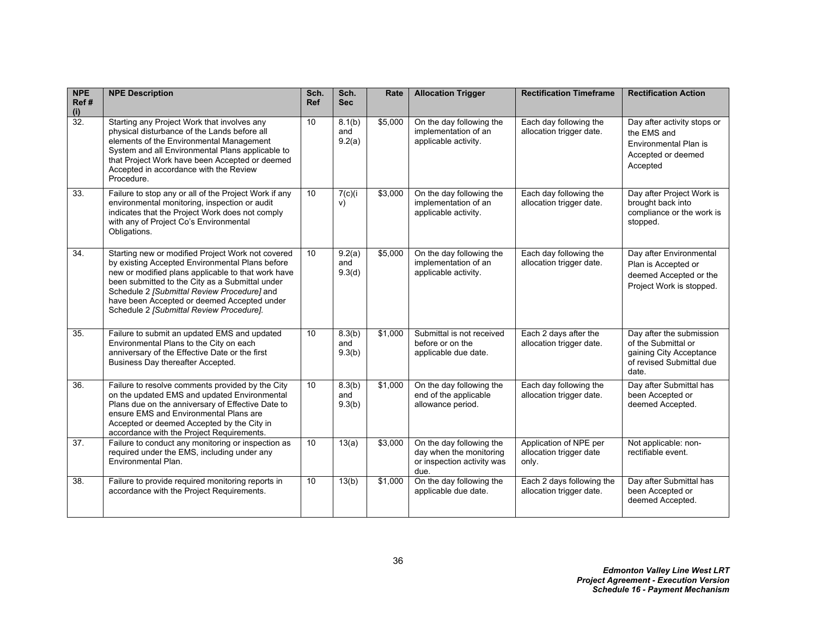| <b>NPE</b><br>Ref#<br>$\frac{1}{32}$ | <b>NPE Description</b>                                                                                                                                                                                                                                                                                                                                  | Sch.<br><b>Ref</b> | Sch.<br><b>Sec</b>      | Rate    | <b>Allocation Trigger</b>                                                                 | <b>Rectification Timeframe</b>                             | <b>Rectification Action</b>                                                                                     |
|--------------------------------------|---------------------------------------------------------------------------------------------------------------------------------------------------------------------------------------------------------------------------------------------------------------------------------------------------------------------------------------------------------|--------------------|-------------------------|---------|-------------------------------------------------------------------------------------------|------------------------------------------------------------|-----------------------------------------------------------------------------------------------------------------|
|                                      | Starting any Project Work that involves any<br>physical disturbance of the Lands before all<br>elements of the Environmental Management<br>System and all Environmental Plans applicable to<br>that Project Work have been Accepted or deemed<br>Accepted in accordance with the Review<br>Procedure.                                                   | 10                 | 8.1(b)<br>and<br>9.2(a) | \$5,000 | On the day following the<br>implementation of an<br>applicable activity.                  | Each day following the<br>allocation trigger date.         | Day after activity stops or<br>the EMS and<br>Environmental Plan is<br>Accepted or deemed<br>Accepted           |
| 33.                                  | Failure to stop any or all of the Project Work if any<br>environmental monitoring, inspection or audit<br>indicates that the Project Work does not comply<br>with any of Project Co's Environmental<br>Obligations.                                                                                                                                     | 10                 | 7(c)(i)<br>V)           | \$3,000 | On the day following the<br>implementation of an<br>applicable activity.                  | Each day following the<br>allocation trigger date.         | Day after Project Work is<br>brought back into<br>compliance or the work is<br>stopped.                         |
| 34.                                  | Starting new or modified Project Work not covered<br>by existing Accepted Environmental Plans before<br>new or modified plans applicable to that work have<br>been submitted to the City as a Submittal under<br>Schedule 2 [Submittal Review Procedure] and<br>have been Accepted or deemed Accepted under<br>Schedule 2 [Submittal Review Procedure]. | 10 <sup>1</sup>    | 9.2(a)<br>and<br>9.3(d) | \$5,000 | On the day following the<br>implementation of an<br>applicable activity.                  | Each day following the<br>allocation trigger date.         | Day after Environmental<br>Plan is Accepted or<br>deemed Accepted or the<br>Project Work is stopped.            |
| 35.                                  | Failure to submit an updated EMS and updated<br>Environmental Plans to the City on each<br>anniversary of the Effective Date or the first<br>Business Day thereafter Accepted.                                                                                                                                                                          | 10                 | 8.3(b)<br>and<br>9.3(b) | \$1,000 | Submittal is not received<br>before or on the<br>applicable due date.                     | Each 2 days after the<br>allocation trigger date.          | Day after the submission<br>of the Submittal or<br>gaining City Acceptance<br>of revised Submittal due<br>date. |
| 36.                                  | Failure to resolve comments provided by the City<br>on the updated EMS and updated Environmental<br>Plans due on the anniversary of Effective Date to<br>ensure EMS and Environmental Plans are<br>Accepted or deemed Accepted by the City in<br>accordance with the Project Requirements.                                                              | 10                 | 8.3(b)<br>and<br>9.3(b) | \$1,000 | On the day following the<br>end of the applicable<br>allowance period.                    | Each day following the<br>allocation trigger date.         | Day after Submittal has<br>been Accepted or<br>deemed Accepted.                                                 |
| 37.                                  | Failure to conduct any monitoring or inspection as<br>required under the EMS, including under any<br>Environmental Plan.                                                                                                                                                                                                                                | 10                 | 13(a)                   | \$3,000 | On the day following the<br>day when the monitoring<br>or inspection activity was<br>due. | Application of NPE per<br>allocation trigger date<br>only. | Not applicable: non-<br>rectifiable event.                                                                      |
| 38.                                  | Failure to provide required monitoring reports in<br>accordance with the Project Requirements.                                                                                                                                                                                                                                                          | 10                 | 13(b)                   | \$1,000 | On the day following the<br>applicable due date.                                          | Each 2 days following the<br>allocation trigger date.      | Day after Submittal has<br>been Accepted or<br>deemed Accepted.                                                 |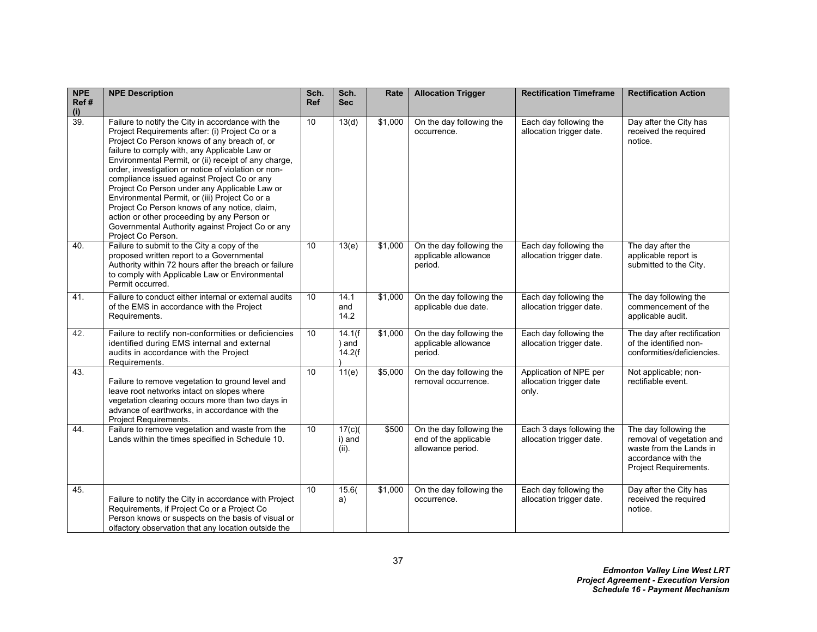| <b>NPE</b><br>Ref# | <b>NPE Description</b>                                                                                                                                                                                                                                                                                                                                                                                                                                                                                                                                                                                                                           | Sch.<br><b>Ref</b> | Sch.<br><b>Sec</b>         | Rate    | <b>Allocation Trigger</b>                                              | <b>Rectification Timeframe</b>                             | <b>Rectification Action</b>                                                                                                   |
|--------------------|--------------------------------------------------------------------------------------------------------------------------------------------------------------------------------------------------------------------------------------------------------------------------------------------------------------------------------------------------------------------------------------------------------------------------------------------------------------------------------------------------------------------------------------------------------------------------------------------------------------------------------------------------|--------------------|----------------------------|---------|------------------------------------------------------------------------|------------------------------------------------------------|-------------------------------------------------------------------------------------------------------------------------------|
| $\frac{1}{39}$     | Failure to notify the City in accordance with the<br>Project Requirements after: (i) Project Co or a<br>Project Co Person knows of any breach of, or<br>failure to comply with, any Applicable Law or<br>Environmental Permit, or (ii) receipt of any charge,<br>order, investigation or notice of violation or non-<br>compliance issued against Project Co or any<br>Project Co Person under any Applicable Law or<br>Environmental Permit, or (iii) Project Co or a<br>Project Co Person knows of any notice, claim,<br>action or other proceeding by any Person or<br>Governmental Authority against Project Co or any<br>Project Co Person. | 10                 | 13(d)                      | \$1,000 | On the day following the<br>occurrence.                                | Each day following the<br>allocation trigger date.         | Day after the City has<br>received the required<br>notice.                                                                    |
| 40.                | Failure to submit to the City a copy of the<br>proposed written report to a Governmental<br>Authority within 72 hours after the breach or failure<br>to comply with Applicable Law or Environmental<br>Permit occurred.                                                                                                                                                                                                                                                                                                                                                                                                                          | 10                 | 13(e)                      | \$1,000 | On the day following the<br>applicable allowance<br>period.            | Each day following the<br>allocation trigger date.         | The day after the<br>applicable report is<br>submitted to the City.                                                           |
| 41.                | Failure to conduct either internal or external audits<br>of the EMS in accordance with the Project<br>Requirements.                                                                                                                                                                                                                                                                                                                                                                                                                                                                                                                              | 10                 | 14.1<br>and<br>14.2        | \$1,000 | On the day following the<br>applicable due date.                       | Each day following the<br>allocation trigger date.         | The day following the<br>commencement of the<br>applicable audit.                                                             |
| 42.                | Failure to rectify non-conformities or deficiencies<br>identified during EMS internal and external<br>audits in accordance with the Project<br>Requirements.                                                                                                                                                                                                                                                                                                                                                                                                                                                                                     | 10                 | 14.1(f<br>) and<br>14.2(f) | \$1,000 | On the day following the<br>applicable allowance<br>period.            | Each day following the<br>allocation trigger date.         | The day after rectification<br>of the identified non-<br>conformities/deficiencies.                                           |
| 43.                | Failure to remove vegetation to ground level and<br>leave root networks intact on slopes where<br>vegetation clearing occurs more than two days in<br>advance of earthworks, in accordance with the<br>Project Requirements.                                                                                                                                                                                                                                                                                                                                                                                                                     | 10                 | 11(e)                      | \$5,000 | On the day following the<br>removal occurrence.                        | Application of NPE per<br>allocation trigger date<br>only. | Not applicable; non-<br>rectifiable event.                                                                                    |
| 44.                | Failure to remove vegetation and waste from the<br>Lands within the times specified in Schedule 10.                                                                                                                                                                                                                                                                                                                                                                                                                                                                                                                                              | 10                 | 17(c)<br>i) and<br>(ii)    | \$500   | On the day following the<br>end of the applicable<br>allowance period. | Each 3 days following the<br>allocation trigger date.      | The day following the<br>removal of vegetation and<br>waste from the Lands in<br>accordance with the<br>Project Requirements. |
| 45.                | Failure to notify the City in accordance with Project<br>Requirements, if Project Co or a Project Co<br>Person knows or suspects on the basis of visual or<br>olfactory observation that any location outside the                                                                                                                                                                                                                                                                                                                                                                                                                                | 10                 | 15.6(<br>a)                | \$1,000 | On the day following the<br>occurrence.                                | Each day following the<br>allocation trigger date.         | Day after the City has<br>received the required<br>notice.                                                                    |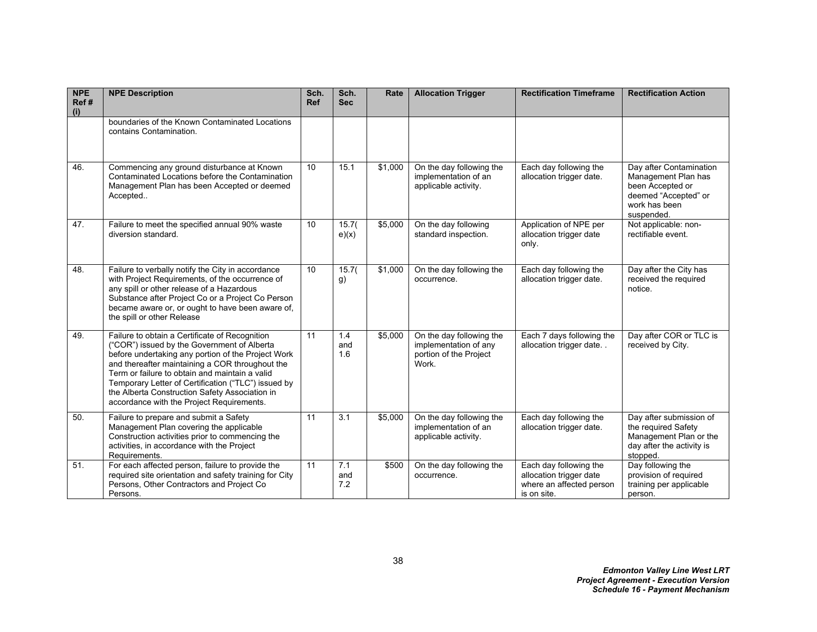| <b>NPE</b><br>Ref#<br>(i) | <b>NPE Description</b>                                                                                                                                                                                                                                                                                                                                                                                         | Sch.<br><b>Ref</b> | Sch.<br><b>Sec</b> | Rate    | <b>Allocation Trigger</b>                                                            | <b>Rectification Timeframe</b>                                                               | <b>Rectification Action</b>                                                                                               |
|---------------------------|----------------------------------------------------------------------------------------------------------------------------------------------------------------------------------------------------------------------------------------------------------------------------------------------------------------------------------------------------------------------------------------------------------------|--------------------|--------------------|---------|--------------------------------------------------------------------------------------|----------------------------------------------------------------------------------------------|---------------------------------------------------------------------------------------------------------------------------|
|                           | boundaries of the Known Contaminated Locations<br>contains Contamination.                                                                                                                                                                                                                                                                                                                                      |                    |                    |         |                                                                                      |                                                                                              |                                                                                                                           |
| 46.                       | Commencing any ground disturbance at Known<br>Contaminated Locations before the Contamination<br>Management Plan has been Accepted or deemed<br>Accepted                                                                                                                                                                                                                                                       | 10                 | 15.1               | \$1,000 | On the day following the<br>implementation of an<br>applicable activity.             | Each day following the<br>allocation trigger date.                                           | Day after Contamination<br>Management Plan has<br>been Accepted or<br>deemed "Accepted" or<br>work has been<br>suspended. |
| 47.                       | Failure to meet the specified annual 90% waste<br>diversion standard.                                                                                                                                                                                                                                                                                                                                          | 10                 | 15.7(<br>e)(x)     | \$5,000 | On the day following<br>standard inspection.                                         | Application of NPE per<br>allocation trigger date<br>only.                                   | Not applicable: non-<br>rectifiable event.                                                                                |
| 48.                       | Failure to verbally notify the City in accordance<br>with Project Requirements, of the occurrence of<br>any spill or other release of a Hazardous<br>Substance after Project Co or a Project Co Person<br>became aware or, or ought to have been aware of,<br>the spill or other Release                                                                                                                       | 10                 | 15.7(<br>g)        | \$1,000 | On the day following the<br>occurrence.                                              | Each day following the<br>allocation trigger date.                                           | Day after the City has<br>received the required<br>notice.                                                                |
| 49.                       | Failure to obtain a Certificate of Recognition<br>("COR") issued by the Government of Alberta<br>before undertaking any portion of the Project Work<br>and thereafter maintaining a COR throughout the<br>Term or failure to obtain and maintain a valid<br>Temporary Letter of Certification ("TLC") issued by<br>the Alberta Construction Safety Association in<br>accordance with the Project Requirements. | 11                 | 1.4<br>and<br>1.6  | \$5,000 | On the day following the<br>implementation of any<br>portion of the Project<br>Work. | Each 7 days following the<br>allocation trigger date                                         | Day after COR or TLC is<br>received by City.                                                                              |
| 50.                       | Failure to prepare and submit a Safety<br>Management Plan covering the applicable<br>Construction activities prior to commencing the<br>activities, in accordance with the Project<br>Requirements.                                                                                                                                                                                                            | 11                 | 3.1                | \$5,000 | On the day following the<br>implementation of an<br>applicable activity.             | Each day following the<br>allocation trigger date.                                           | Day after submission of<br>the required Safety<br>Management Plan or the<br>day after the activity is<br>stopped.         |
| 51.                       | For each affected person, failure to provide the<br>required site orientation and safety training for City<br>Persons, Other Contractors and Project Co<br>Persons.                                                                                                                                                                                                                                            | 11                 | 7.1<br>and<br>7.2  | \$500   | On the day following the<br>occurrence.                                              | Each day following the<br>allocation trigger date<br>where an affected person<br>is on site. | Day following the<br>provision of required<br>training per applicable<br>person.                                          |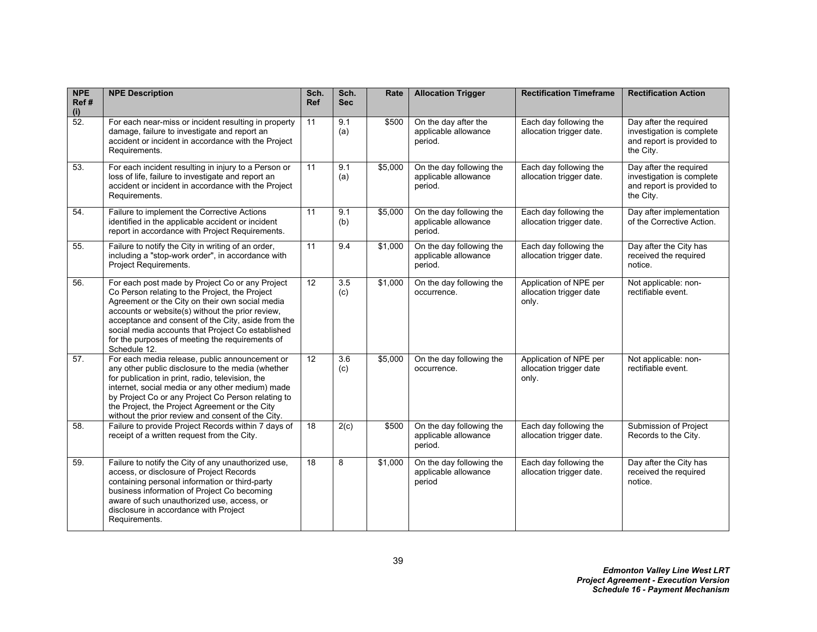| <b>NPE</b><br>Ref#<br>(i) | <b>NPE Description</b>                                                                                                                                                                                                                                                                                                                                                                 | Sch.<br><b>Ref</b> | Sch.<br><b>Sec</b> | Rate    | <b>Allocation Trigger</b>                                   | <b>Rectification Timeframe</b>                             | <b>Rectification Action</b>                                                                   |
|---------------------------|----------------------------------------------------------------------------------------------------------------------------------------------------------------------------------------------------------------------------------------------------------------------------------------------------------------------------------------------------------------------------------------|--------------------|--------------------|---------|-------------------------------------------------------------|------------------------------------------------------------|-----------------------------------------------------------------------------------------------|
| $\overline{52}$           | For each near-miss or incident resulting in property<br>damage, failure to investigate and report an<br>accident or incident in accordance with the Project<br>Requirements.                                                                                                                                                                                                           | 11                 | 9.1<br>(a)         | \$500   | On the day after the<br>applicable allowance<br>period.     | Each day following the<br>allocation trigger date.         | Day after the required<br>investigation is complete<br>and report is provided to<br>the City. |
| 53.                       | For each incident resulting in injury to a Person or<br>loss of life, failure to investigate and report an<br>accident or incident in accordance with the Project<br>Requirements.                                                                                                                                                                                                     | 11                 | 9.1<br>(a)         | \$5,000 | On the day following the<br>applicable allowance<br>period. | Each day following the<br>allocation trigger date.         | Day after the required<br>investigation is complete<br>and report is provided to<br>the City. |
| 54.                       | Failure to implement the Corrective Actions<br>identified in the applicable accident or incident<br>report in accordance with Project Requirements.                                                                                                                                                                                                                                    | 11                 | 9.1<br>(b)         | \$5,000 | On the day following the<br>applicable allowance<br>period. | Each day following the<br>allocation trigger date.         | Day after implementation<br>of the Corrective Action.                                         |
| 55.                       | Failure to notify the City in writing of an order,<br>including a "stop-work order", in accordance with<br>Project Requirements.                                                                                                                                                                                                                                                       | 11                 | 9.4                | \$1,000 | On the day following the<br>applicable allowance<br>period. | Each day following the<br>allocation trigger date.         | Day after the City has<br>received the required<br>notice.                                    |
| 56.                       | For each post made by Project Co or any Project<br>Co Person relating to the Project, the Project<br>Agreement or the City on their own social media<br>accounts or website(s) without the prior review,<br>acceptance and consent of the City, aside from the<br>social media accounts that Project Co established<br>for the purposes of meeting the requirements of<br>Schedule 12. | 12                 | 3.5<br>(c)         | \$1,000 | On the day following the<br>occurrence.                     | Application of NPE per<br>allocation trigger date<br>only. | Not applicable: non-<br>rectifiable event.                                                    |
| 57.                       | For each media release, public announcement or<br>any other public disclosure to the media (whether<br>for publication in print, radio, television, the<br>internet, social media or any other medium) made<br>by Project Co or any Project Co Person relating to<br>the Project, the Project Agreement or the City<br>without the prior review and consent of the City.               | 12                 | 3.6<br>(c)         | \$5,000 | On the day following the<br>occurrence.                     | Application of NPE per<br>allocation trigger date<br>only. | Not applicable: non-<br>rectifiable event.                                                    |
| 58.                       | Failure to provide Project Records within 7 days of<br>receipt of a written request from the City.                                                                                                                                                                                                                                                                                     | $\overline{18}$    | 2(c)               | \$500   | On the day following the<br>applicable allowance<br>period. | Each day following the<br>allocation trigger date.         | Submission of Project<br>Records to the City.                                                 |
| 59.                       | Failure to notify the City of any unauthorized use,<br>access, or disclosure of Project Records<br>containing personal information or third-party<br>business information of Project Co becoming<br>aware of such unauthorized use, access, or<br>disclosure in accordance with Project<br>Requirements.                                                                               | 18                 | 8                  | \$1,000 | On the day following the<br>applicable allowance<br>period  | Each day following the<br>allocation trigger date.         | Day after the City has<br>received the required<br>notice.                                    |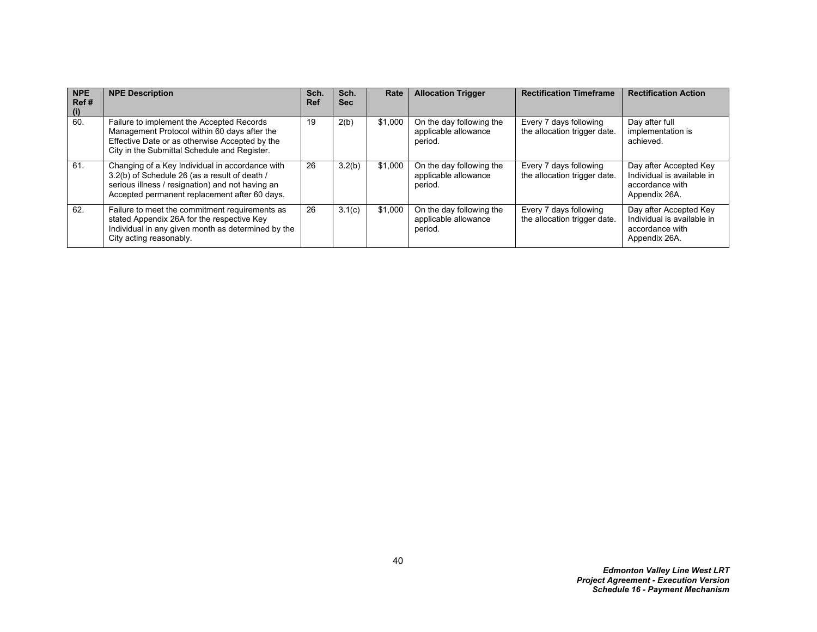| <b>NPE</b><br>Ref#<br>(i) | <b>NPE Description</b>                                                                                                                                                                                | Sch.<br><b>Ref</b> | Sch.<br><b>Sec</b> | Rate    | <b>Allocation Trigger</b>                                   | <b>Rectification Timeframe</b>                         | <b>Rectification Action</b>                                                              |
|---------------------------|-------------------------------------------------------------------------------------------------------------------------------------------------------------------------------------------------------|--------------------|--------------------|---------|-------------------------------------------------------------|--------------------------------------------------------|------------------------------------------------------------------------------------------|
| 60.                       | Failure to implement the Accepted Records<br>Management Protocol within 60 days after the<br>Effective Date or as otherwise Accepted by the<br>City in the Submittal Schedule and Register.           | 19                 | 2(b)               | \$1,000 | On the day following the<br>applicable allowance<br>period. | Every 7 days following<br>the allocation trigger date. | Day after full<br>implementation is<br>achieved.                                         |
| 61.                       | Changing of a Key Individual in accordance with<br>3.2(b) of Schedule 26 (as a result of death /<br>serious illness / resignation) and not having an<br>Accepted permanent replacement after 60 days. | 26                 | 3.2(b)             | \$1,000 | On the day following the<br>applicable allowance<br>period. | Every 7 days following<br>the allocation trigger date. | Day after Accepted Key<br>Individual is available in<br>accordance with<br>Appendix 26A. |
| 62.                       | Failure to meet the commitment requirements as<br>stated Appendix 26A for the respective Key<br>Individual in any given month as determined by the<br>City acting reasonably.                         | 26                 | 3.1(c)             | \$1,000 | On the day following the<br>applicable allowance<br>period. | Every 7 days following<br>the allocation trigger date. | Day after Accepted Key<br>Individual is available in<br>accordance with<br>Appendix 26A. |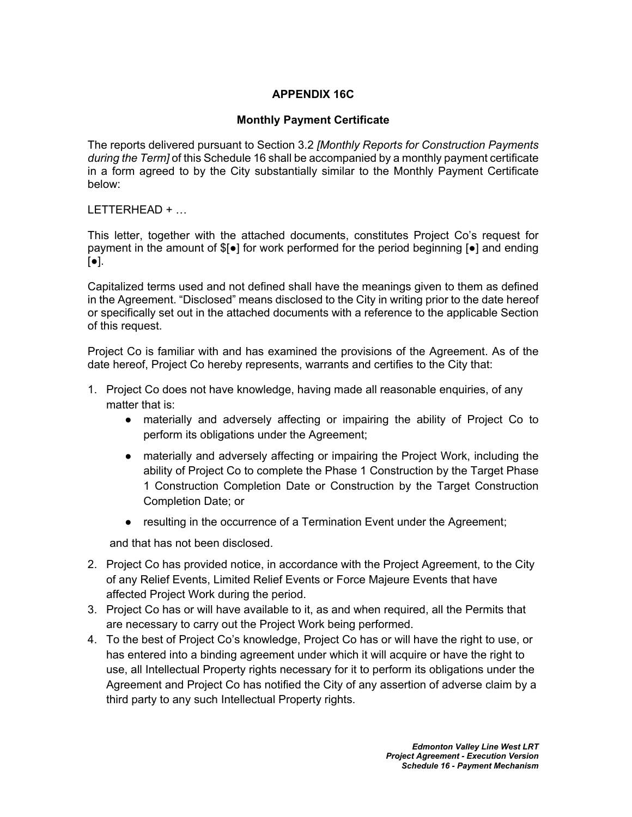# **APPENDIX 16C**

## **Monthly Payment Certificate**

The reports delivered pursuant to Section [3.2](#page-19-4) *[Monthly Reports for Construction Payments during the Term]* of this Schedule 16 shall be accompanied by a monthly payment certificate in a form agreed to by the City substantially similar to the Monthly Payment Certificate below:

LETTERHEAD + …

This letter, together with the attached documents, constitutes Project Co's request for payment in the amount of \$[●] for work performed for the period beginning [●] and ending [●].

Capitalized terms used and not defined shall have the meanings given to them as defined in the Agreement. "Disclosed" means disclosed to the City in writing prior to the date hereof or specifically set out in the attached documents with a reference to the applicable Section of this request.

Project Co is familiar with and has examined the provisions of the Agreement. As of the date hereof, Project Co hereby represents, warrants and certifies to the City that:

- 1. Project Co does not have knowledge, having made all reasonable enquiries, of any matter that is:
	- materially and adversely affecting or impairing the ability of Project Co to perform its obligations under the Agreement;
	- materially and adversely affecting or impairing the Project Work, including the ability of Project Co to complete the Phase 1 Construction by the Target Phase 1 Construction Completion Date or Construction by the Target Construction Completion Date; or
	- resulting in the occurrence of a Termination Event under the Agreement;

and that has not been disclosed.

- 2. Project Co has provided notice, in accordance with the Project Agreement, to the City of any Relief Events, Limited Relief Events or Force Majeure Events that have affected Project Work during the period.
- 3. Project Co has or will have available to it, as and when required, all the Permits that are necessary to carry out the Project Work being performed.
- 4. To the best of Project Co's knowledge, Project Co has or will have the right to use, or has entered into a binding agreement under which it will acquire or have the right to use, all Intellectual Property rights necessary for it to perform its obligations under the Agreement and Project Co has notified the City of any assertion of adverse claim by a third party to any such Intellectual Property rights.